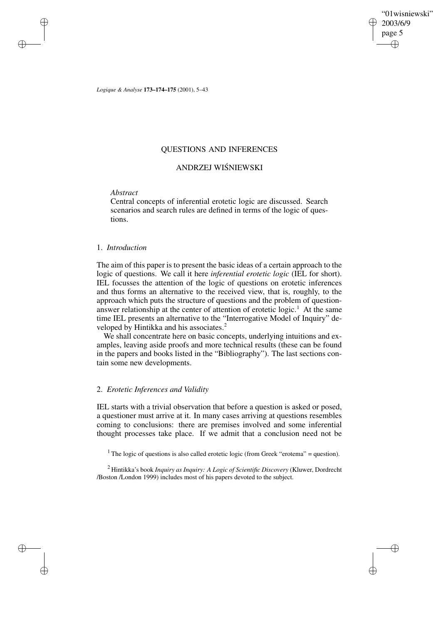"01wisniewski" 2003/6/9 page 5 ✐ ✐

✐

✐

*Logique & Analyse* **173–174–175** (2001), 5–43

# QUESTIONS AND INFERENCES

# ANDRZEJ WISNIEWSKI ´

# *Abstract*

✐

✐

✐

✐

Central concepts of inferential erotetic logic are discussed. Search scenarios and search rules are defined in terms of the logic of questions.

# 1. *Introduction*

The aim of this paper is to present the basic ideas of a certain approach to the logic of questions. We call it here *inferential erotetic logic* (IEL for short). IEL focusses the attention of the logic of questions on erotetic inferences and thus forms an alternative to the received view, that is, roughly, to the approach which puts the structure of questions and the problem of questionanswer relationship at the center of attention of erotetic  $logic$ <sup>1</sup>. At the same time IEL presents an alternative to the "Interrogative Model of Inquiry" developed by Hintikka and his associates.<sup>2</sup>

We shall concentrate here on basic concepts, underlying intuitions and examples, leaving aside proofs and more technical results (these can be found in the papers and books listed in the "Bibliography"). The last sections contain some new developments.

# 2. *Erotetic Inferences and Validity*

IEL starts with a trivial observation that before a question is asked or posed, a questioner must arrive at it. In many cases arriving at questions resembles coming to conclusions: there are premises involved and some inferential thought processes take place. If we admit that a conclusion need not be

<sup>1</sup> The logic of questions is also called erotetic logic (from Greek "erotema" = question).

<sup>2</sup> Hintikka's book *Inquiry as Inquiry: A Logic of Scientific Discovery* (Kluwer, Dordrecht /Boston /London 1999) includes most of his papers devoted to the subject.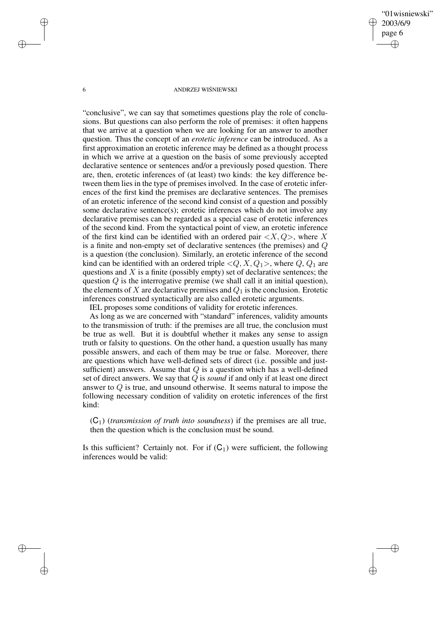"01wisniewski" 2003/6/9 page 6 ✐ ✐

✐

✐

### 6 ANDRZEJ WISNIEWSKI ´

"conclusive", we can say that sometimes questions play the role of conclusions. But questions can also perform the role of premises: it often happens that we arrive at a question when we are looking for an answer to another question. Thus the concept of an *erotetic inference* can be introduced. As a first approximation an erotetic inference may be defined as a thought process in which we arrive at a question on the basis of some previously accepted declarative sentence or sentences and/or a previously posed question. There are, then, erotetic inferences of (at least) two kinds: the key difference between them lies in the type of premises involved. In the case of erotetic inferences of the first kind the premises are declarative sentences. The premises of an erotetic inference of the second kind consist of a question and possibly some declarative sentence(s); erotetic inferences which do not involve any declarative premises can be regarded as a special case of erotetic inferences of the second kind. From the syntactical point of view, an erotetic inference of the first kind can be identified with an ordered pair  $\langle X, Q \rangle$ , where X is a finite and non-empty set of declarative sentences (the premises) and Q is a question (the conclusion). Similarly, an erotetic inference of the second kind can be identified with an ordered triple  $\langle Q, X, Q_1 \rangle$ , where  $Q, Q_1$  are questions and  $X$  is a finite (possibly empty) set of declarative sentences; the question  $Q$  is the interrogative premise (we shall call it an initial question), the elements of  $X$  are declarative premises and  $Q_1$  is the conclusion. Erotetic inferences construed syntactically are also called erotetic arguments. IEL proposes some conditions of validity for erotetic inferences.

As long as we are concerned with "standard" inferences, validity amounts to the transmission of truth: if the premises are all true, the conclusion must be true as well. But it is doubtful whether it makes any sense to assign truth or falsity to questions. On the other hand, a question usually has many possible answers, and each of them may be true or false. Moreover, there are questions which have well-defined sets of direct (i.e. possible and justsufficient) answers. Assume that  $Q$  is a question which has a well-defined set of direct answers. We say that Q is *sound* if and only if at least one direct answer to Q is true, and unsound otherwise. It seems natural to impose the following necessary condition of validity on erotetic inferences of the first kind:

(C1) (*transmission of truth into soundness*) if the premises are all true, then the question which is the conclusion must be sound.

Is this sufficient? Certainly not. For if  $(C_1)$  were sufficient, the following inferences would be valid:

✐

✐

✐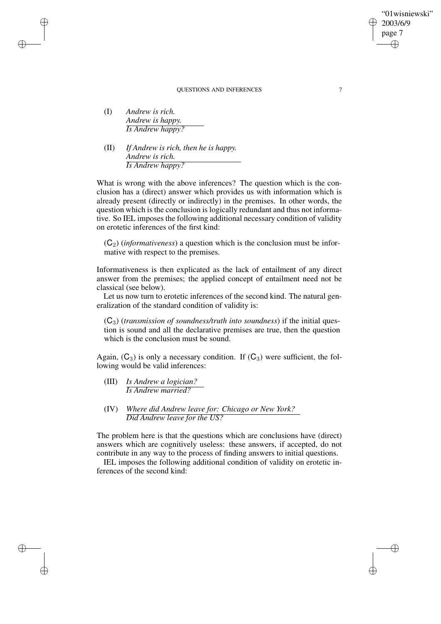(I) *Andrew is rich. Andrew is happy. Is Andrew happy?*

✐

✐

✐

✐

(II) *If Andrew is rich, then he is happy. Andrew is rich. Is Andrew happy?*

What is wrong with the above inferences? The question which is the conclusion has a (direct) answer which provides us with information which is already present (directly or indirectly) in the premises. In other words, the question which is the conclusion is logically redundant and thus not informative. So IEL imposes the following additional necessary condition of validity on erotetic inferences of the first kind:

 $(C_2)$  (*informativeness*) a question which is the conclusion must be informative with respect to the premises.

Informativeness is then explicated as the lack of entailment of any direct answer from the premises; the applied concept of entailment need not be classical (see below).

Let us now turn to erotetic inferences of the second kind. The natural generalization of the standard condition of validity is:

(C3) (*transmission of soundness/truth into soundness*) if the initial question is sound and all the declarative premises are true, then the question which is the conclusion must be sound.

Again,  $(C_3)$  is only a necessary condition. If  $(C_3)$  were sufficient, the following would be valid inferences:

- (III) *Is Andrew a logician? Is Andrew married?*
- (IV) *Where did Andrew leave for: Chicago or New York? Did Andrew leave for the US?*

The problem here is that the questions which are conclusions have (direct) answers which are cognitively useless: these answers, if accepted, do not contribute in any way to the process of finding answers to initial questions.

IEL imposes the following additional condition of validity on erotetic inferences of the second kind:

"01wisniewski"

2003/6/9 page 7

✐

✐

✐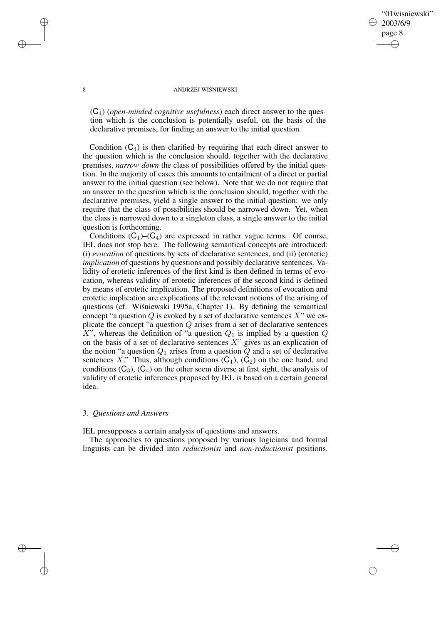## "01wisniewski" 2003/6/9 page 8 ✐ ✐

✐

✐

### 8 ANDRZEJ WIŚNIEWSKI

(C4) (*open-minded cognitive usefulness*) each direct answer to the question which is the conclusion is potentially useful, on the basis of the declarative premises, for finding an answer to the initial question.

Condition  $(C_4)$  is then clarified by requiring that each direct answer to the question which is the conclusion should, together with the declarative premises, *narrow down* the class of possibilities offered by the initial question. In the majority of cases this amounts to entailment of a direct or partial answer to the initial question (see below). Note that we do not require that an answer to the question which is the conclusion should, together with the declarative premises, yield a single answer to the initial question: we only require that the class of possibilities should be narrowed down. Yet, when the class is narrowed down to a singleton class, a single answer to the initial question is forthcoming.

Conditions  $(C_1)$ – $(C_4)$  are expressed in rather vague terms. Of course, IEL does not stop here. The following semantical concepts are introduced: (i) *evocation* of questions by sets of declarative sentences, and (ii) (erotetic) *implication* of questions by questions and possibly declarative sentences. Validity of erotetic inferences of the first kind is then defined in terms of evocation, whereas validity of erotetic inferences of the second kind is defined by means of erotetic implication. The proposed definitions of evocation and erotetic implication are explications of the relevant notions of the arising of questions (cf. Wisniewski 1995a, Chapter 1). By defining the semantical concept "a question  $Q$  is evoked by a set of declarative sentences  $X$ " we explicate the concept "a question  $Q$  arises from a set of declarative sentences X", whereas the definition of "a question  $Q_1$  is implied by a question  $Q$ on the basis of a set of declarative sentences  $X$ " gives us an explication of the notion "a question  $Q_1$  arises from a question  $Q$  and a set of declarative sentences X." Thus, although conditions  $(C_1)$ ,  $(C_2)$  on the one hand, and conditions  $(C_3)$ ,  $(C_4)$  on the other seem diverse at first sight, the analysis of validity of erotetic inferences proposed by IEL is based on a certain general idea.

## 3. *Questions and Answers*

IEL presupposes a certain analysis of questions and answers.

The approaches to questions proposed by various logicians and formal linguists can be divided into *reductionist* and *non-reductionist* positions.

✐

✐

✐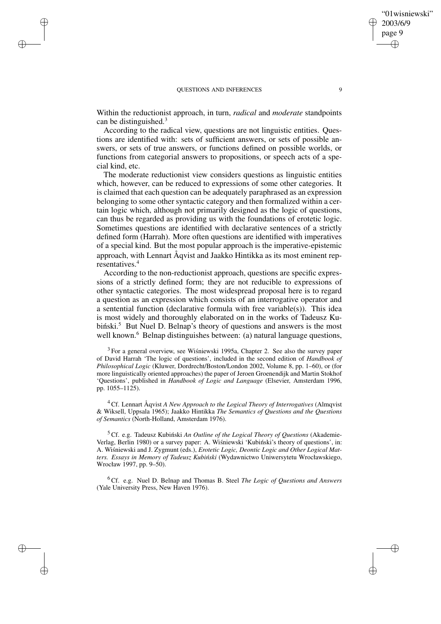✐

✐

✐

✐

Within the reductionist approach, in turn, *radical* and *moderate* standpoints can be distinguished.<sup>3</sup>

According to the radical view, questions are not linguistic entities. Questions are identified with: sets of sufficient answers, or sets of possible answers, or sets of true answers, or functions defined on possible worlds, or functions from categorial answers to propositions, or speech acts of a special kind, etc.

The moderate reductionist view considers questions as linguistic entities which, however, can be reduced to expressions of some other categories. It is claimed that each question can be adequately paraphrased as an expression belonging to some other syntactic category and then formalized within a certain logic which, although not primarily designed as the logic of questions, can thus be regarded as providing us with the foundations of erotetic logic. Sometimes questions are identified with declarative sentences of a strictly defined form (Harrah). More often questions are identified with imperatives of a special kind. But the most popular approach is the imperative-epistemic approach, with Lennart Åqvist and Jaakko Hintikka as its most eminent representatives.<sup>4</sup>

According to the non-reductionist approach, questions are specific expressions of a strictly defined form; they are not reducible to expressions of other syntactic categories. The most widespread proposal here is to regard a question as an expression which consists of an interrogative operator and a sentential function (declarative formula with free variable(s)). This idea is most widely and thoroughly elaborated on in the works of Tadeusz Kubiński.<sup>5</sup> But Nuel D. Belnap's theory of questions and answers is the most well known.<sup>6</sup> Belnap distinguishes between: (a) natural language questions,

 $3$  For a general overview, see Wiśniewski 1995a, Chapter 2. See also the survey paper of David Harrah 'The logic of questions', included in the second edition of *Handbook of Philosophical Logic* (Kluwer, Dordrecht/Boston/London 2002, Volume 8, pp. 1–60), or (for more linguistically oriented approaches) the paper of Jeroen Groenendijk and Martin Stokhof 'Questions', published in *Handbook of Logic and Language* (Elsevier, Amsterdam 1996, pp. 1055–1125).

<sup>4</sup> Cf. Lennart Åqvist *A New Approach to the Logical Theory of Interrogatives* (Almqvist & Wiksell, Uppsala 1965); Jaakko Hintikka *The Semantics of Questions and the Questions of Semantics* (North-Holland, Amsterdam 1976).

<sup>5</sup> Cf. e.g. Tadeusz Kubiński An Outline of the Logical Theory of Questions (Akademie-Verlag, Berlin 1980) or a survey paper: A. Wisniewski 'Kubinski's theory of questions', in: A. Wisniewski and J. Zygmunt (eds.), *Erotetic Logic, Deontic Logic and Other Logical Matters. Essays in Memory of Tadeusz Kubinski ´* (Wydawnictwo Uniwersytetu Wrocławskiego, Wrocław 1997, pp. 9–50).

<sup>6</sup> Cf. e.g. Nuel D. Belnap and Thomas B. Steel *The Logic of Questions and Answers* (Yale University Press, New Haven 1976).

"01wisniewski"

2003/6/9 page 9

✐

✐

✐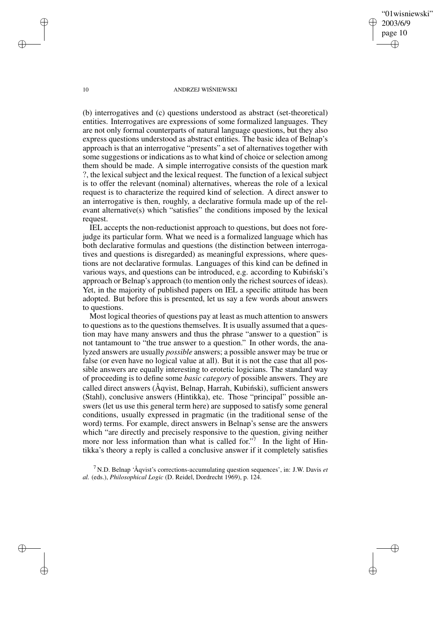"01wisniewski" 2003/6/9 page 10 ✐ ✐

✐

✐

#### 10 ANDRZEJ WIŚNIEWSKI

(b) interrogatives and (c) questions understood as abstract (set-theoretical) entities. Interrogatives are expressions of some formalized languages. They are not only formal counterparts of natural language questions, but they also express questions understood as abstract entities. The basic idea of Belnap's approach is that an interrogative "presents" a set of alternatives together with some suggestions or indications as to what kind of choice or selection among them should be made. A simple interrogative consists of the question mark ?, the lexical subject and the lexical request. The function of a lexical subject is to offer the relevant (nominal) alternatives, whereas the role of a lexical request is to characterize the required kind of selection. A direct answer to an interrogative is then, roughly, a declarative formula made up of the relevant alternative(s) which "satisfies" the conditions imposed by the lexical request.

IEL accepts the non-reductionist approach to questions, but does not forejudge its particular form. What we need is a formalized language which has both declarative formulas and questions (the distinction between interrogatives and questions is disregarded) as meaningful expressions, where questions are not declarative formulas. Languages of this kind can be defined in various ways, and questions can be introduced, e.g. according to Kubinski's approach or Belnap's approach (to mention only the richest sources of ideas). Yet, in the majority of published papers on IEL a specific attitude has been adopted. But before this is presented, let us say a few words about answers to questions.

Most logical theories of questions pay at least as much attention to answers to questions as to the questions themselves. It is usually assumed that a question may have many answers and thus the phrase "answer to a question" is not tantamount to "the true answer to a question." In other words, the analyzed answers are usually *possible* answers; a possible answer may be true or false (or even have no logical value at all). But it is not the case that all possible answers are equally interesting to erotetic logicians. The standard way of proceeding is to define some *basic category* of possible answers. They are called direct answers ( $\AA$ qvist, Belnap, Harrah, Kubinski), sufficient answers (Stahl), conclusive answers (Hintikka), etc. Those "principal" possible answers (let us use this general term here) are supposed to satisfy some general conditions, usually expressed in pragmatic (in the traditional sense of the word) terms. For example, direct answers in Belnap's sense are the answers which "are directly and precisely responsive to the question, giving neither more nor less information than what is called for."<sup>7</sup> In the light of Hintikka's theory a reply is called a conclusive answer if it completely satisfies

<sup>7</sup> N.D. Belnap 'Åqvist's corrections-accumulating question sequences', in: J.W. Davis *et al.* (eds.), *Philosophical Logic* (D. Reidel, Dordrecht 1969), p. 124.

✐

✐

✐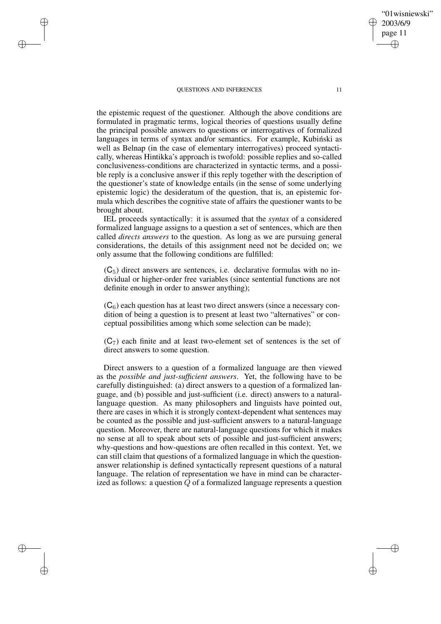✐

✐

✐

✐

the epistemic request of the questioner. Although the above conditions are formulated in pragmatic terms, logical theories of questions usually define the principal possible answers to questions or interrogatives of formalized languages in terms of syntax and/or semantics. For example, Kubinski as well as Belnap (in the case of elementary interrogatives) proceed syntactically, whereas Hintikka's approach is twofold: possible replies and so-called conclusiveness-conditions are characterized in syntactic terms, and a possible reply is a conclusive answer if this reply together with the description of the questioner's state of knowledge entails (in the sense of some underlying epistemic logic) the desideratum of the question, that is, an epistemic formula which describes the cognitive state of affairs the questioner wants to be brought about.

IEL proceeds syntactically: it is assumed that the *syntax* of a considered formalized language assigns to a question a set of sentences, which are then called *directs answers* to the question. As long as we are pursuing general considerations, the details of this assignment need not be decided on; we only assume that the following conditions are fulfilled:

 $(C_5)$  direct answers are sentences, i.e. declarative formulas with no individual or higher-order free variables (since sentential functions are not definite enough in order to answer anything);

 $(C<sub>6</sub>)$  each question has at least two direct answers (since a necessary condition of being a question is to present at least two "alternatives" or conceptual possibilities among which some selection can be made);

 $(C_7)$  each finite and at least two-element set of sentences is the set of direct answers to some question.

Direct answers to a question of a formalized language are then viewed as the *possible and just-sufficient answers*. Yet, the following have to be carefully distinguished: (a) direct answers to a question of a formalized language, and (b) possible and just-sufficient (i.e. direct) answers to a naturallanguage question. As many philosophers and linguists have pointed out, there are cases in which it is strongly context-dependent what sentences may be counted as the possible and just-sufficient answers to a natural-language question. Moreover, there are natural-language questions for which it makes no sense at all to speak about sets of possible and just-sufficient answers; why-questions and how-questions are often recalled in this context. Yet, we can still claim that questions of a formalized language in which the questionanswer relationship is defined syntactically represent questions of a natural language. The relation of representation we have in mind can be characterized as follows: a question Q of a formalized language represents a question "01wisniewski"

2003/6/9 page 11

✐

✐

✐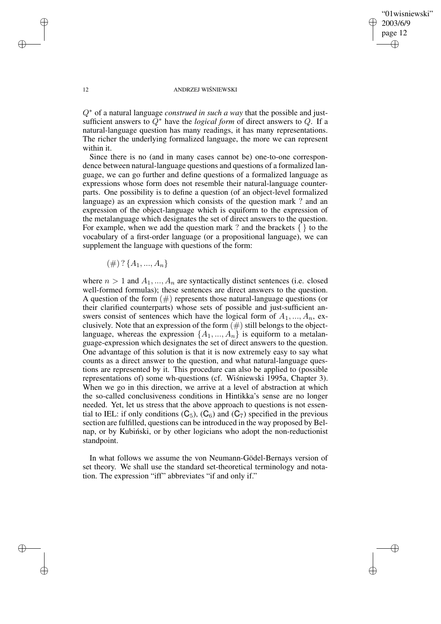✐

### 12 ANDRZEJ WIŚNIEWSKI

Q<sup>∗</sup> of a natural language *construed in such a way* that the possible and justsufficient answers to Q<sup>∗</sup> have the *logical form* of direct answers to Q. If a natural-language question has many readings, it has many representations. The richer the underlying formalized language, the more we can represent within it.

Since there is no (and in many cases cannot be) one-to-one correspondence between natural-language questions and questions of a formalized language, we can go further and define questions of a formalized language as expressions whose form does not resemble their natural-language counterparts. One possibility is to define a question (of an object-level formalized language) as an expression which consists of the question mark ? and an expression of the object-language which is equiform to the expression of the metalanguage which designates the set of direct answers to the question. For example, when we add the question mark ? and the brackets  $\{\}$  to the vocabulary of a first-order language (or a propositional language), we can supplement the language with questions of the form:

 $(\#)\ ?\ {A_1, ..., A_n}$ 

where  $n > 1$  and  $A_1, ..., A_n$  are syntactically distinct sentences (i.e. closed well-formed formulas); these sentences are direct answers to the question. A question of the form  $(\#)$  represents those natural-language questions (or their clarified counterparts) whose sets of possible and just-sufficient answers consist of sentences which have the logical form of  $A_1, ..., A_n$ , exclusively. Note that an expression of the form  $(\#)$  still belongs to the objectlanguage, whereas the expression  $\{A_1, ..., A_n\}$  is equiform to a metalanguage-expression which designates the set of direct answers to the question. One advantage of this solution is that it is now extremely easy to say what counts as a direct answer to the question, and what natural-language questions are represented by it. This procedure can also be applied to (possible representations of) some wh-questions (cf. Wisniewski 1995a, Chapter 3). When we go in this direction, we arrive at a level of abstraction at which the so-called conclusiveness conditions in Hintikka's sense are no longer needed. Yet, let us stress that the above approach to questions is not essential to IEL: if only conditions  $(C_5)$ ,  $(C_6)$  and  $(C_7)$  specified in the previous section are fulfilled, questions can be introduced in the way proposed by Belnap, or by Kubiński, or by other logicians who adopt the non-reductionist standpoint.

In what follows we assume the von Neumann-Gödel-Bernays version of set theory. We shall use the standard set-theoretical terminology and notation. The expression "iff" abbreviates "if and only if."

✐

✐

✐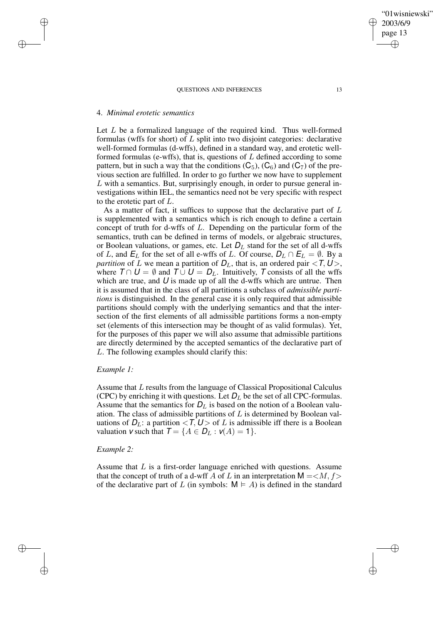### 4. *Minimal erotetic semantics*

✐

✐

✐

✐

Let L be a formalized language of the required kind. Thus well-formed formulas (wffs for short) of L split into two disjoint categories: declarative well-formed formulas (d-wffs), defined in a standard way, and erotetic wellformed formulas (e-wffs), that is, questions of  $L$  defined according to some pattern, but in such a way that the conditions  $(C_5)$ ,  $(C_6)$  and  $(C_7)$  of the previous section are fulfilled. In order to go further we now have to supplement  $L$  with a semantics. But, surprisingly enough, in order to pursue general investigations within IEL, the semantics need not be very specific with respect to the erotetic part of L.

As a matter of fact, it suffices to suppose that the declarative part of L is supplemented with a semantics which is rich enough to define a certain concept of truth for d-wffs of L. Depending on the particular form of the semantics, truth can be defined in terms of models, or algebraic structures, or Boolean valuations, or games, etc. Let  $D<sub>L</sub>$  stand for the set of all d-wffs of L, and  $E_L$  for the set of all e-wffs of L. Of course,  $D_L \cap E_L = \emptyset$ . By a *partition* of L we mean a partition of  $D_L$ , that is, an ordered pair < T,  $U$ >, where  $T \cap U = \emptyset$  and  $\overline{T} \cup U = D_L$ . Intuitively,  $\overline{T}$  consists of all the wffs which are true, and  $U$  is made up of all the d-wffs which are untrue. Then it is assumed that in the class of all partitions a subclass of *admissible partitions* is distinguished. In the general case it is only required that admissible partitions should comply with the underlying semantics and that the intersection of the first elements of all admissible partitions forms a non-empty set (elements of this intersection may be thought of as valid formulas). Yet, for the purposes of this paper we will also assume that admissible partitions are directly determined by the accepted semantics of the declarative part of L. The following examples should clarify this:

### *Example 1:*

Assume that L results from the language of Classical Propositional Calculus (CPC) by enriching it with questions. Let  $D<sub>L</sub>$  be the set of all CPC-formulas. Assume that the semantics for  $D<sub>L</sub>$  is based on the notion of a Boolean valuation. The class of admissible partitions of  $L$  is determined by Boolean valuations of  $D_L$ : a partition  $\langle T, U \rangle$  of L is admissible iff there is a Boolean valuation  $\mathsf{v}$  such that  $\mathsf{T} = \{A \in \mathsf{D}_L : \mathsf{v}(A) = 1\}.$ 

# *Example 2:*

Assume that  $L$  is a first-order language enriched with questions. Assume that the concept of truth of a d-wff A of L in an interpretation  $M = *M*, f>$ of the declarative part of L (in symbols:  $M \models A$ ) is defined in the standard

✐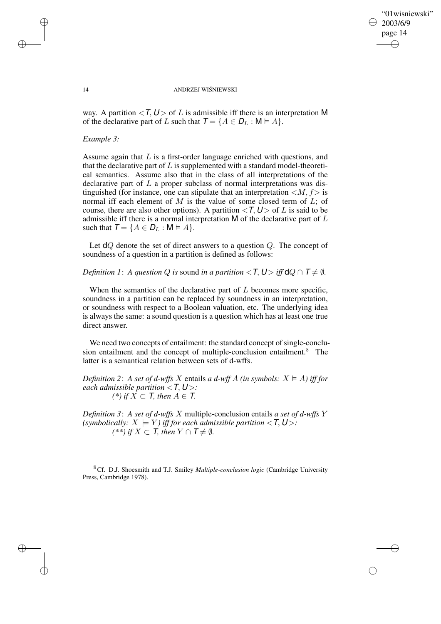✐

#### 14 ANDRZEJ WIŚNIEWSKI

way. A partition  $\langle T, U \rangle$  of L is admissible iff there is an interpretation M of the declarative part of L such that  $T = \{A \in D_L : M \models A\}.$ 

## *Example 3:*

Assume again that  $L$  is a first-order language enriched with questions, and that the declarative part of  $L$  is supplemented with a standard model-theoretical semantics. Assume also that in the class of all interpretations of the declarative part of  $L$  a proper subclass of normal interpretations was distinguished (for instance, one can stipulate that an interpretation  $\langle M, f \rangle$  is normal iff each element of  $M$  is the value of some closed term of  $L$ ; of course, there are also other options). A partition  $\langle T, U \rangle$  of L is said to be admissible iff there is a normal interpretation M of the declarative part of L such that  $T = \{A \in D_L : M \models A\}.$ 

Let  $dQ$  denote the set of direct answers to a question  $Q$ . The concept of soundness of a question in a partition is defined as follows:

*Definition* 1: *A question Q is* sound *in a partition* < *T*,  $U$  > *iff*  $dQ \cap T \neq \emptyset$ *.* 

When the semantics of the declarative part of  $L$  becomes more specific, soundness in a partition can be replaced by soundness in an interpretation, or soundness with respect to a Boolean valuation, etc. The underlying idea is always the same: a sound question is a question which has at least one true direct answer.

We need two concepts of entailment: the standard concept of single-conclusion entailment and the concept of multiple-conclusion entailment.<sup>8</sup> The latter is a semantical relation between sets of d-wffs.

*Definition* 2: *A set of d-wffs X* entails *a d-wff A (in symbols:*  $X \models A$ ) *iff for each admissible partition* <T, U >*: (\*) if*  $\overline{X}$  ⊂ *T, then*  $\overline{A}$  ∈ *T.* 

*Definition 3*: *A set of d-wffs* X multiple-conclusion entails *a set of d-wffs* Y *(symbolically:*  $X \models Y$ *) iff for each admissible partition* <  $\mathsf{T}, \mathsf{U}$  >: *(\*\*) if*  $X$  ⊂ *T, then*  $Y$  ∩  $T \neq \emptyset$ *.* 

<sup>8</sup> Cf. D.J. Shoesmith and T.J. Smiley *Multiple-conclusion logic* (Cambridge University Press, Cambridge 1978).

✐

✐

✐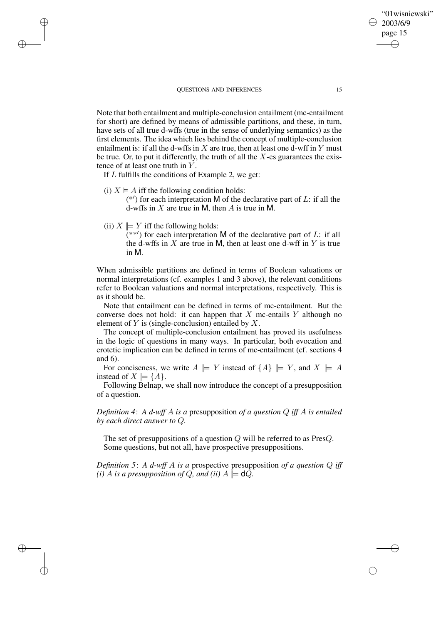Note that both entailment and multiple-conclusion entailment (mc-entailment for short) are defined by means of admissible partitions, and these, in turn, have sets of all true d-wffs (true in the sense of underlying semantics) as the first elements. The idea which lies behind the concept of multiple-conclusion entailment is: if all the d-wffs in  $X$  are true, then at least one d-wff in  $Y$  must be true. Or, to put it differently, the truth of all the  $X$ -es guarantees the existence of at least one truth in  $Y$ .

If L fulfills the conditions of Example 2, we get:

- (i)  $X \models A$  iff the following condition holds:  $(*')$  for each interpretation M of the declarative part of L: if all the d-wffs in  $X$  are true in M, then A is true in M.
- (ii)  $X \models Y$  iff the following holds:

✐

✐

✐

✐

(\*\*') for each interpretation M of the declarative part of L: if all the d-wffs in  $X$  are true in M, then at least one d-wff in  $Y$  is true in M.

When admissible partitions are defined in terms of Boolean valuations or normal interpretations (cf. examples 1 and 3 above), the relevant conditions refer to Boolean valuations and normal interpretations, respectively. This is as it should be.

Note that entailment can be defined in terms of mc-entailment. But the converse does not hold: it can happen that  $X$  mc-entails  $Y$  although no element of  $Y$  is (single-conclusion) entailed by  $X$ .

The concept of multiple-conclusion entailment has proved its usefulness in the logic of questions in many ways. In particular, both evocation and erotetic implication can be defined in terms of mc-entailment (cf. sections 4 and 6).

For conciseness, we write  $A \models Y$  instead of  $\{A\} \models Y$ , and  $X \models A$ instead of  $X \models \{A\}.$ 

Following Belnap, we shall now introduce the concept of a presupposition of a question.

*Definition 4*: *A d-wff* A *is a* presupposition *of a question* Q *iff* A *is entailed by each direct answer to* Q*.*

The set of presuppositions of a question Q will be referred to as PresQ. Some questions, but not all, have prospective presuppositions.

*Definition 5*: *A d-wff* A *is a* prospective presupposition *of a question* Q *iff (i) A is a presupposition of Q, and (ii)*  $A \models \mathbf{d}Q$ *.* 

"01wisniewski"

2003/6/9 page 15

✐

✐

✐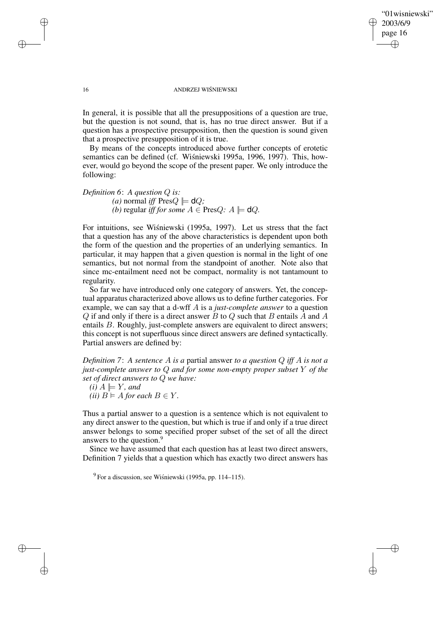"01wisniewski" 2003/6/9 page 16 ✐ ✐

✐

✐

### 16 ANDRZEJ WIŚNIEWSKI

In general, it is possible that all the presuppositions of a question are true, but the question is not sound, that is, has no true direct answer. But if a question has a prospective presupposition, then the question is sound given that a prospective presupposition of it is true.

By means of the concepts introduced above further concepts of erotetic semantics can be defined (cf. Wisniewski 1995a, 1996, 1997). This, however, would go beyond the scope of the present paper. We only introduce the following:

*Definition 6*: *A question* Q *is: (a)* normal *iff* Pres $Q \models \mathsf{d}Q$ ; *(b)* regular *iff for some*  $A \in \text{PresQ}: A \models \text{d}Q$ .

For intuitions, see Wisniewski (1995a, 1997). Let us stress that the fact that a question has any of the above characteristics is dependent upon both the form of the question and the properties of an underlying semantics. In particular, it may happen that a given question is normal in the light of one semantics, but not normal from the standpoint of another. Note also that since mc-entailment need not be compact, normality is not tantamount to regularity.

So far we have introduced only one category of answers. Yet, the conceptual apparatus characterized above allows us to define further categories. For example, we can say that a d-wff A is a *just-complete answer* to a question  $Q$  if and only if there is a direct answer  $B$  to  $Q$  such that  $B$  entails  $A$  and  $A$ entails B. Roughly, just-complete answers are equivalent to direct answers; this concept is not superfluous since direct answers are defined syntactically. Partial answers are defined by:

*Definition 7*: *A sentence* A *is a* partial answer *to a question* Q *iff* A *is not a just-complete answer to* Q *and for some non-empty proper subset* Y *of the set of direct answers to* Q *we have:*

 $(i)$   $A \models Y$ *, and (ii)*  $B \models A$  *for each*  $B \in Y$ *.* 

Thus a partial answer to a question is a sentence which is not equivalent to any direct answer to the question, but which is true if and only if a true direct answer belongs to some specified proper subset of the set of all the direct answers to the question.<sup>9</sup>

Since we have assumed that each question has at least two direct answers, Definition 7 yields that a question which has exactly two direct answers has

 $9^9$  For a discussion, see Wiśniewski (1995a, pp. 114–115).

✐

✐

✐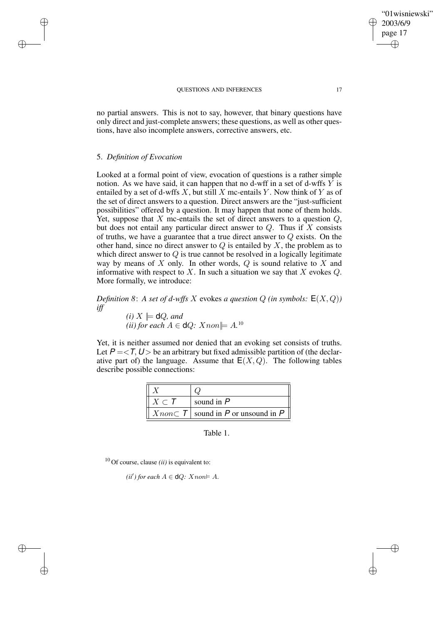no partial answers. This is not to say, however, that binary questions have only direct and just-complete answers; these questions, as well as other questions, have also incomplete answers, corrective answers, etc.

## 5. *Definition of Evocation*

 $\rightarrow$ 

 $\rightarrow$ 

✐

✐

Looked at a formal point of view, evocation of questions is a rather simple notion. As we have said, it can happen that no d-wff in a set of d-wffs  $\overline{Y}$  is entailed by a set of d-wffs  $X$ , but still  $X$  mc-entails  $Y$ . Now think of  $Y$  as of the set of direct answers to a question. Direct answers are the "just-sufficient possibilities" offered by a question. It may happen that none of them holds. Yet, suppose that  $X$  mc-entails the set of direct answers to a question  $Q$ , but does not entail any particular direct answer to  $Q$ . Thus if  $X$  consists of truths, we have a guarantee that a true direct answer to Q exists. On the other hand, since no direct answer to  $Q$  is entailed by  $X$ , the problem as to which direct answer to  $Q$  is true cannot be resolved in a logically legitimate way by means of  $X$  only. In other words,  $Q$  is sound relative to  $X$  and informative with respect to X. In such a situation we say that X evokes  $Q$ . More formally, we introduce:

*Definition* 8: *A set of d-wffs* X evokes *a question*  $Q$  *(in symbols:*  $E(X, Q)$ ) *iff*

*(i)*  $X \models \mathsf{d}Q$ *, and (ii)* for each  $A \in \mathsf{d}Q$ :  $X non \models A$ .<sup>10</sup>

Yet, it is neither assumed nor denied that an evoking set consists of truths. Let  $P = < I$ ,  $U >$  be an arbitrary but fixed admissible partition of (the declarative part of) the language. Assume that  $E(X, Q)$ . The following tables describe possible connections:

| $X \subset \mathcal{T}$ | sound in $P$                                 |
|-------------------------|----------------------------------------------|
|                         | $X non \subset T$ sound in P or unsound in P |

Table 1.

<sup>10</sup> Of course, clause *(ii)* is equivalent to:

 $(ii')$  *for each*  $A \in \mathsf{d}Q$ :  $X$ *non* $\models A$ .

"01wisniewski"

2003/6/9 page 17

✐

✐

✐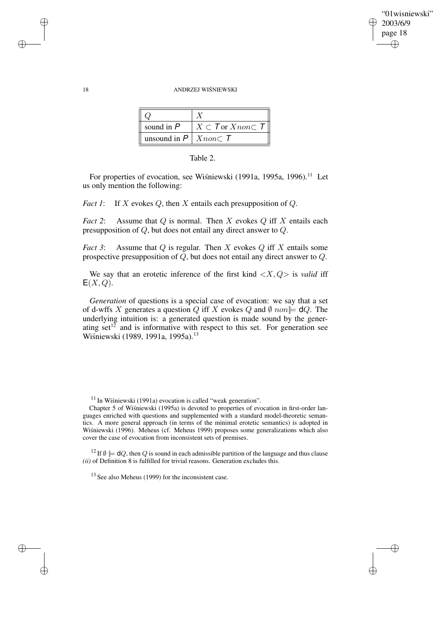✐

### 18 ANDRZEJ WIŚNIEWSKI

| sound in $P$                        | $X \subset \mathcal{T}$ or $X$ non $\subset \mathcal{T}$ |
|-------------------------------------|----------------------------------------------------------|
| unsound in $P \mid X non \subset T$ |                                                          |

| Table |  |
|-------|--|
|       |  |

For properties of evocation, see Wiśniewski (1991a, 1995a, 1996).<sup>11</sup> Let us only mention the following:

*Fact* 1: If X evokes Q, then X entails each presupposition of Q.

*Fact* 2: Assume that  $Q$  is normal. Then  $X$  evokes  $Q$  iff  $X$  entails each presupposition of Q, but does not entail any direct answer to Q.

*Fact* 3: Assume that Q is regular. Then X evokes Q iff X entails some prospective presupposition of  $\overline{Q}$ , but does not entail any direct answer to  $Q$ .

We say that an erotetic inference of the first kind  $\langle X, Q \rangle$  is *valid* iff  $E(X,Q)$ .

*Generation* of questions is a special case of evocation: we say that a set of d-wffs X generates a question Q iff X evokes Q and  $\emptyset$  non $\models dQ$ . The underlying intuition is: a generated question is made sound by the generating set<sup>12</sup> and is informative with respect to this set. For generation see Wiśniewski (1989, 1991a, 1995a).<sup>13</sup>

 $11$  In Wisniewski (1991a) evocation is called "weak generation".

<sup>12</sup> If  $\emptyset \models dQ$ , then Q is sound in each admissible partition of the language and thus clause *(ii)* of Definition 8 is fulfilled for trivial reasons. Generation excludes this.

 $13$  See also Meheus (1999) for the inconsistent case.

 $\rightarrow$ 

 $\rightarrow$ 

✐

Chapter 5 of Wiśniewski (1995a) is devoted to properties of evocation in first-order languages enriched with questions and supplemented with a standard model-theoretic semantics. A more general approach (in terms of the minimal erotetic semantics) is adopted in Wisniewski (1996). Meheus (cf. Meheus 1999) proposes some generalizations which also cover the case of evocation from inconsistent sets of premises.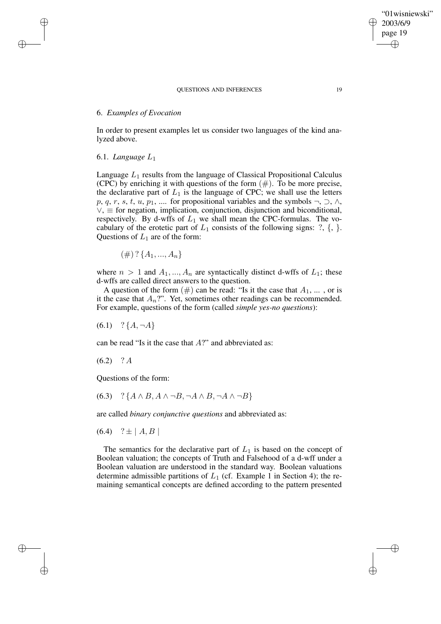# 6. *Examples of Evocation*

In order to present examples let us consider two languages of the kind analyzed above.

# 6.1. *Language* L1

 $\rightarrow$ 

 $\rightarrow$ 

✐

✐

Language  $L_1$  results from the language of Classical Propositional Calculus (CPC) by enriching it with questions of the form  $(\#)$ . To be more precise, the declarative part of  $L_1$  is the language of CPC; we shall use the letters p, q, r, s, t, u, p<sub>1</sub>, .... for propositional variables and the symbols  $\neg$ ,  $\neg$ ,  $\wedge$ ,  $\vee$ ,  $\equiv$  for negation, implication, conjunction, disjunction and biconditional, respectively. By d-wffs of  $L_1$  we shall mean the CPC-formulas. The vocabulary of the erotetic part of  $L_1$  consists of the following signs: ?, {, }. Questions of  $L_1$  are of the form:

$$
(\#)
$$
?  $\{A_1, ..., A_n\}$ 

where  $n > 1$  and  $A_1, ..., A_n$  are syntactically distinct d-wffs of  $L_1$ ; these d-wffs are called direct answers to the question.

A question of the form  $(\#)$  can be read: "Is it the case that  $A_1, \ldots$ , or is it the case that  $A_n$ ?". Yet, sometimes other readings can be recommended. For example, questions of the form (called *simple yes-no questions*):

 $(6.1)$  ?  $\{A, \neg A\}$ 

can be read "Is it the case that A?" and abbreviated as:

 $(6.2)$  ? A

Questions of the form:

 $(6.3)$  ? { $A \wedge B$ ,  $A \wedge \neg B$ ,  $\neg A \wedge B$ ,  $\neg A \wedge \neg B$ }

are called *binary conjunctive questions* and abbreviated as:

 $(6.4)$  ?  $\pm$  | A, B |

The semantics for the declarative part of  $L_1$  is based on the concept of Boolean valuation; the concepts of Truth and Falsehood of a d-wff under a Boolean valuation are understood in the standard way. Boolean valuations determine admissible partitions of  $L_1$  (cf. Example 1 in Section 4); the remaining semantical concepts are defined according to the pattern presented

"01wisniewski" 2003/6/9 page 19

✐

✐

✐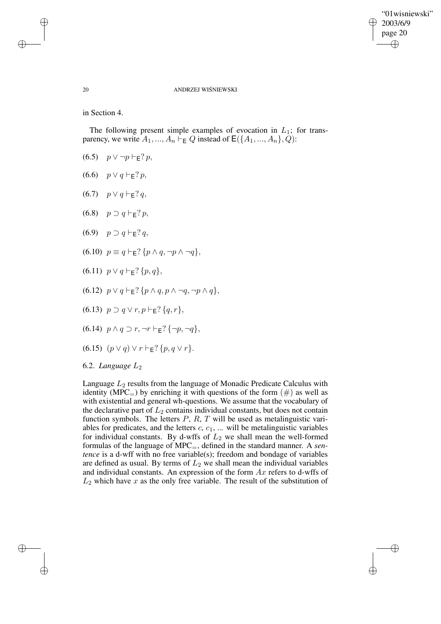✐

## 20 ANDRZEJ WISNIEWSKI ´

in Section 4.

 $\rightarrow$ 

 $\rightarrow$ 

✐

✐

The following present simple examples of evocation in  $L_1$ ; for transparency, we write  $A_1, ..., A_n \rightharpoonup_{\mathsf{E}} Q$  instead of  $\mathsf{E}(\{A_1, ..., A_n\}, Q)$ :

- (6.5)  $p \vee \neg p \vdash_{\mathsf{E}} ? p$ ,
- (6.6)  $p \vee q \vdash_{\mathsf{F}} ? p$ ,
- $(6.7)$   $p \vee q \vdash_{\mathsf{F}} ? q$ ,
- $(6.8)$   $p \supset q \vdash_{\mathsf{F}} ? p$
- $(6.9)$   $p \supset q \vdash_{\mathsf{F}} ? q$ ,
- $(6.10)$   $p \equiv q \vdash_{\mathsf{F}} ? \{p \land q, \neg p \land \neg q\},\$
- (6.11)  $p \lor q \vdash_{\mathsf{E}} ? \{p, q\},\$
- $(6.12)$   $p \vee q \vdash_{\mathsf{F}} ? \{p \wedge q, p \wedge \neg q, \neg p \wedge q\},\$
- (6.13)  $p \supset q \vee r, p \vdash_{\mathsf{F}} ? \{q, r\},\$
- $(6.14)$   $p \wedge q \supset r, \neg r \vdash_{F} ? {\neg p, \neg q},$
- (6.15)  $(p \vee q) \vee r \vdash_{\mathsf{F}} ? \{p, q \vee r\}.$

6.2. *Language* L2

Language  $L_2$  results from the language of Monadic Predicate Calculus with identity (MPC $_{=}$ ) by enriching it with questions of the form (#) as well as with existential and general wh-questions. We assume that the vocabulary of the declarative part of  $L_2$  contains individual constants, but does not contain function symbols. The letters  $P$ ,  $R$ ,  $T$  will be used as metalinguistic variables for predicates, and the letters  $c, c_1, \ldots$  will be metalinguistic variables for individual constants. By d-wffs of  $L_2$  we shall mean the well-formed formulas of the language of MPC=, defined in the standard manner. A *sentence* is a d-wff with no free variable(s); freedom and bondage of variables are defined as usual. By terms of  $L_2$  we shall mean the individual variables and individual constants. An expression of the form  $Ax$  refers to d-wffs of  $L_2$  which have x as the only free variable. The result of the substitution of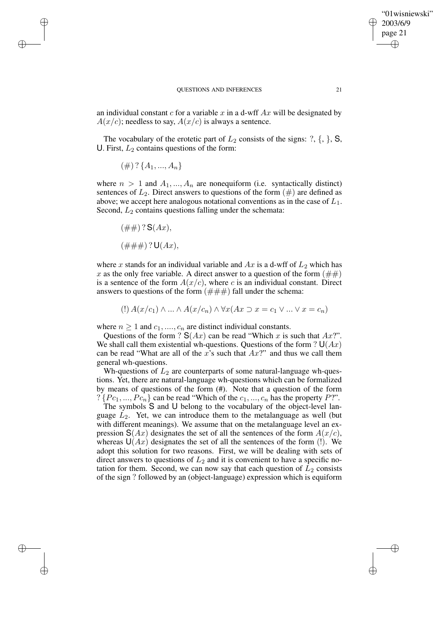✐

#### QUESTIONS AND INFERENCES 21

an individual constant c for a variable x in a d-wff  $Ax$  will be designated by  $A(x/c)$ ; needless to say,  $A(x/c)$  is always a sentence.

The vocabulary of the erotetic part of  $L_2$  consists of the signs: ?, {, }, S, U. First,  $L_2$  contains questions of the form:

$$
(\#)
$$
?  $\{A_1, ..., A_n\}$ 

 $\rightarrow$ 

 $\rightarrow$ 

✐

✐

where  $n > 1$  and  $A_1, ..., A_n$  are nonequiform (i.e. syntactically distinct) sentences of  $L_2$ . Direct answers to questions of the form  $(\#)$  are defined as above; we accept here analogous notational conventions as in the case of  $L_1$ . Second,  $L_2$  contains questions falling under the schemata:

 $(\# \#) ? S(Ax),$  $(\# \# \#) ? U(Ax),$ 

where x stands for an individual variable and  $Ax$  is a d-wff of  $L_2$  which has x as the only free variable. A direct answer to a question of the form  $(\#\#)$ is a sentence of the form  $A(x/c)$ , where c is an individual constant. Direct answers to questions of the form  $(\# \# \#)$  fall under the schema:

$$
(\mathbf{I}) A(x/c_1) \wedge \ldots \wedge A(x/c_n) \wedge \forall x (Ax \supset x = c_1 \vee \ldots \vee x = c_n)
$$

where  $n \geq 1$  and  $c_1, ..., c_n$  are distinct individual constants.

Questions of the form ?  $S(Ax)$  can be read "Which x is such that  $Ax$ ?". We shall call them existential wh-questions. Questions of the form ?  $U(Ax)$ can be read "What are all of the x's such that  $Ax$ " and thus we call them general wh-questions.

Wh-questions of  $L_2$  are counterparts of some natural-language wh-questions. Yet, there are natural-language wh-questions which can be formalized by means of questions of the form (#). Note that a question of the form  $? \{Pc_1, ..., Pc_n\}$  can be read "Which of the  $c_1, ..., c_n$  has the property P?".

The symbols S and U belong to the vocabulary of the object-level language  $L_2$ . Yet, we can introduce them to the metalanguage as well (but with different meanings). We assume that on the metalanguage level an expression  $S(Ax)$  designates the set of all the sentences of the form  $A(x/c)$ , whereas  $U(Ax)$  designates the set of all the sentences of the form (!). We adopt this solution for two reasons. First, we will be dealing with sets of direct answers to questions of  $L_2$  and it is convenient to have a specific notation for them. Second, we can now say that each question of  $L_2$  consists of the sign ? followed by an (object-language) expression which is equiform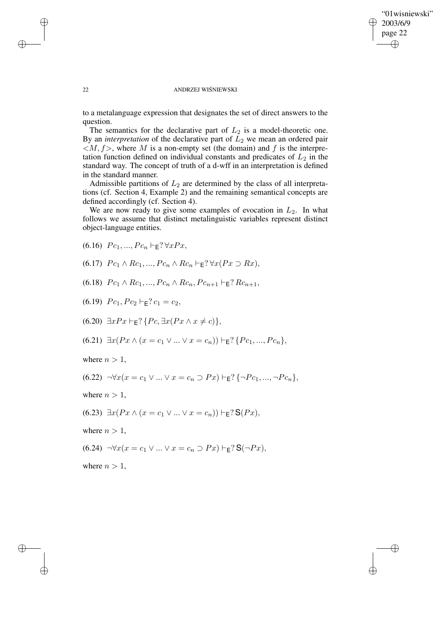✐

### 22 ANDRZEJ WISNIEWSKI ´

to a metalanguage expression that designates the set of direct answers to the question.

The semantics for the declarative part of  $L_2$  is a model-theoretic one. By an *interpretation* of the declarative part of  $L_2$  we mean an ordered pair  $\langle M, f \rangle$ , where M is a non-empty set (the domain) and f is the interpretation function defined on individual constants and predicates of  $L_2$  in the standard way. The concept of truth of a d-wff in an interpretation is defined in the standard manner.

Admissible partitions of  $L_2$  are determined by the class of all interpretations (cf. Section 4, Example 2) and the remaining semantical concepts are defined accordingly (cf. Section 4).

We are now ready to give some examples of evocation in  $L_2$ . In what follows we assume that distinct metalinguistic variables represent distinct object-language entities.

- (6.16)  $Pc_1, ..., Pc_n \vdash_{\mathsf{E}} ? \forall xPx,$
- (6.17)  $Pc_1 \wedge Rc_1, ..., Pc_n \wedge Rc_n \vdash_{\mathsf{E}} ? \forall x (Px \supset Rx),$
- (6.18)  $P_{c_1} \wedge R_{c_1}, ..., P_{c_n} \wedge R_{c_n}, P_{c_{n+1}} \vdash_{\mathsf{F}} ? R_{c_{n+1}},$
- (6.19)  $Pc_1, Pc_2 \vdash_{\mathsf{F}}? c_1 = c_2$
- $(6.20) \exists x Px \vdash_{\mathsf{E}} ? \{ Pc, \exists x (Px \land x \neq c) \},\$
- $(6.21) \exists x (Px \land (x = c_1 \lor ... \lor x = c_n)) \vdash_{\mathsf{F}} ? \{Pc_1, ..., Pc_n\},\$
- where  $n > 1$ ,

$$
(6.22) \ \ \neg \forall x(x = c_1 \lor \dots \lor x = c_n \supset Px) \vdash_{\mathsf{E}} ? \{\neg P c_1, \dots, \neg P c_n\},
$$

where  $n > 1$ ,

(6.23)  $\exists x (Px \land (x = c_1 \lor ... \lor x = c_n)) \vdash_{\mathsf{E}} ? \mathsf{S}(Px),$ 

where  $n > 1$ ,

$$
(6.24) \quad \forall x(x = c_1 \lor \dots \lor x = c_n \supset Px) \vdash_{\mathsf{E}} ? \mathsf{S}(\neg Px),
$$

where  $n > 1$ ,

 $\rightarrow$ 

✐

 $\rightarrow$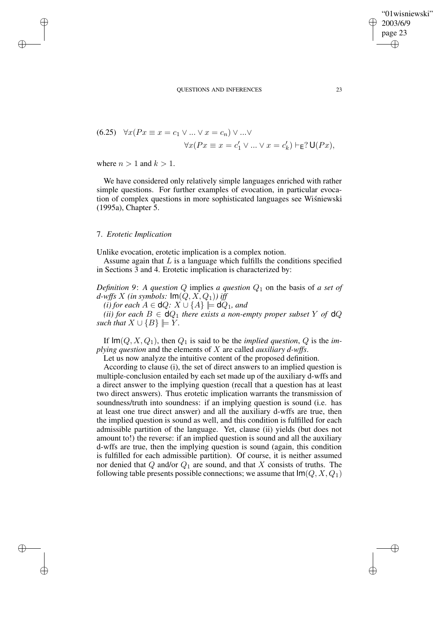(6.25) 
$$
\forall x (Px \equiv x = c_1 \lor \dots \lor x = c_n) \lor \dots \lor
$$

$$
\forall x (Px \equiv x = c'_1 \lor \dots \lor x = c'_k) \vdash_{\mathsf{E}} ? \mathsf{U}(Px),
$$

where  $n > 1$  and  $k > 1$ .

 $\rightarrow$ 

 $\rightarrow$ 

✐

✐

We have considered only relatively simple languages enriched with rather simple questions. For further examples of evocation, in particular evocation of complex questions in more sophisticated languages see Wisniewski (1995a), Chapter 5.

## 7. *Erotetic Implication*

Unlike evocation, erotetic implication is a complex notion.

Assume again that  $L$  is a language which fulfills the conditions specified in Sections 3 and 4. Erotetic implication is characterized by:

*Definition* 9: *A question Q* implies *a question*  $Q_1$  on the basis of *a set of d*-wffs X (in symbols:  $Im(Q, X, Q_1)$ ) iff

*(i) for each*  $A \in \mathsf{d}Q$ :  $X \cup \{A\} \models \mathsf{d}Q_1$ *, and* 

*(ii) for each*  $B \in \mathbf{d}Q_1$  *there exists a non-empty proper subset*  $Y$  *of*  $\mathbf{d}Q$ *such that*  $X \cup \{B\} \models Y$ *.* 

If  $\text{Im}(Q, X, Q_1)$ , then  $Q_1$  is said to be the *implied question*,  $Q$  is the *implying question* and the elements of X are called *auxiliary d-wffs*.

Let us now analyze the intuitive content of the proposed definition.

According to clause (i), the set of direct answers to an implied question is multiple-conclusion entailed by each set made up of the auxiliary d-wffs and a direct answer to the implying question (recall that a question has at least two direct answers). Thus erotetic implication warrants the transmission of soundness/truth into soundness: if an implying question is sound (i.e. has at least one true direct answer) and all the auxiliary d-wffs are true, then the implied question is sound as well, and this condition is fulfilled for each admissible partition of the language. Yet, clause (ii) yields (but does not amount to!) the reverse: if an implied question is sound and all the auxiliary d-wffs are true, then the implying question is sound (again, this condition is fulfilled for each admissible partition). Of course, it is neither assumed nor denied that Q and/or  $Q_1$  are sound, and that X consists of truths. The following table presents possible connections; we assume that  $\text{Im}(Q, X, Q_1)$ 

✐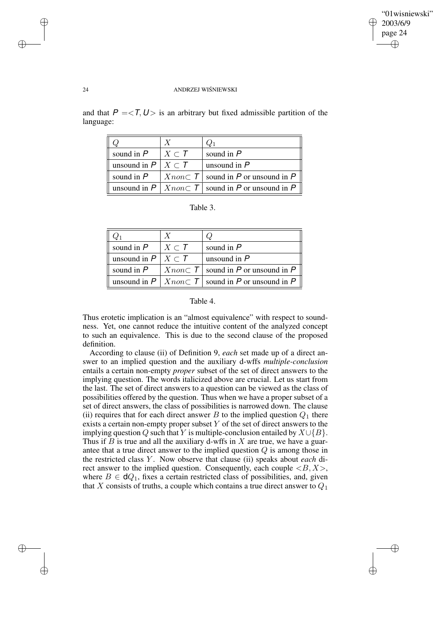✐

### 24 ANDRZEJ WISNIEWSKI ´

and that  $P = \langle T, U \rangle$  is an arbitrary but fixed admissible partition of the language:

|                                 |                         | $Q_1$                                                                  |
|---------------------------------|-------------------------|------------------------------------------------------------------------|
| sound in $P$                    | $X \subset \mathcal{T}$ | sound in $P$                                                           |
| unsound in $P \mid X \subset T$ |                         | unsound in $P$                                                         |
| sound in $P$                    |                         | $X non \subset T$ sound in P or unsound in P                           |
|                                 |                         | unsound in $P   X_{\text{non}} \subset T  $ sound in P or unsound in P |

Table 3.

| sound in $P$                    | $X \subset \mathcal{T}$ | sound in $P$                                                       |
|---------------------------------|-------------------------|--------------------------------------------------------------------|
| unsound in $P \mid X \subset T$ |                         | unsound in $P$                                                     |
| sound in $P$                    |                         | $X non \subset T$ sound in P or unsound in P                       |
|                                 |                         | unsound in $P \mid Xnon \subset T \mid$ sound in P or unsound in P |

| Table |
|-------|
|-------|

Thus erotetic implication is an "almost equivalence" with respect to soundness. Yet, one cannot reduce the intuitive content of the analyzed concept to such an equivalence. This is due to the second clause of the proposed definition.

According to clause (ii) of Definition 9, *each* set made up of a direct answer to an implied question and the auxiliary d-wffs *multiple-conclusion* entails a certain non-empty *proper* subset of the set of direct answers to the implying question. The words italicized above are crucial. Let us start from the last. The set of direct answers to a question can be viewed as the class of possibilities offered by the question. Thus when we have a proper subset of a set of direct answers, the class of possibilities is narrowed down. The clause (ii) requires that for each direct answer  $B$  to the implied question  $Q_1$  there exists a certain non-empty proper subset  $Y$  of the set of direct answers to the implying question Q such that Y is multiple-conclusion entailed by  $X \cup \{B\}$ . Thus if  $B$  is true and all the auxiliary d-wffs in  $X$  are true, we have a guarantee that a true direct answer to the implied question Q is among those in the restricted class Y . Now observe that clause (ii) speaks about *each* direct answer to the implied question. Consequently, each couple  $\langle B, X \rangle$ , where  $B \in dQ_1$ , fixes a certain restricted class of possibilities, and, given that  $X$  consists of truths, a couple which contains a true direct answer to  $Q_1$ 

✐

✐

✐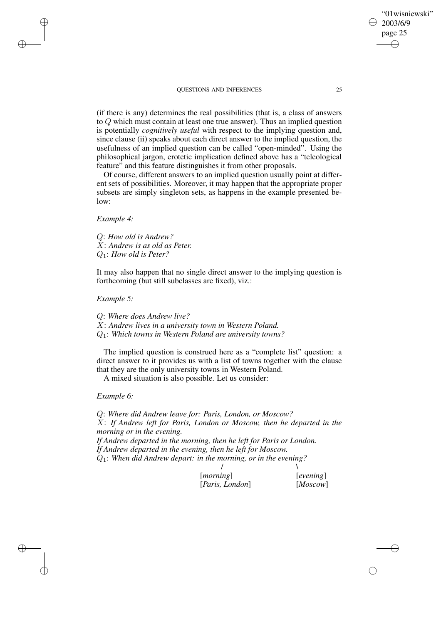(if there is any) determines the real possibilities (that is, a class of answers to Q which must contain at least one true answer). Thus an implied question is potentially *cognitively useful* with respect to the implying question and, since clause (ii) speaks about each direct answer to the implied question, the usefulness of an implied question can be called "open-minded". Using the philosophical jargon, erotetic implication defined above has a "teleological feature" and this feature distinguishes it from other proposals.

Of course, different answers to an implied question usually point at different sets of possibilities. Moreover, it may happen that the appropriate proper subsets are simply singleton sets, as happens in the example presented below:

## *Example 4:*

✐

✐

✐

✐

Q: *How old is Andrew?* X: *Andrew is as old as Peter.* Q1: *How old is Peter?*

It may also happen that no single direct answer to the implying question is forthcoming (but still subclasses are fixed), viz.:

*Example 5:*

Q: *Where does Andrew live?* X: *Andrew lives in a university town in Western Poland.* Q1: *Which towns in Western Poland are university towns?*

The implied question is construed here as a "complete list" question: a direct answer to it provides us with a list of towns together with the clause that they are the only university towns in Western Poland.

A mixed situation is also possible. Let us consider:

### *Example 6:*

Q: *Where did Andrew leave for: Paris, London, or Moscow?* X: *If Andrew left for Paris, London or Moscow, then he departed in the morning or in the evening. If Andrew departed in the morning, then he left for Paris or London. If Andrew departed in the evening, then he left for Moscow.* Q1: *When did Andrew depart: in the morning, or in the evening?* /  $\sqrt{ }$ 

| [ <i>morning</i> ]       | [evening] |
|--------------------------|-----------|
| [ <i>Paris, London</i> ] | [Moscow]  |

"01wisniewski"

2003/6/9 page 25

✐

✐

✐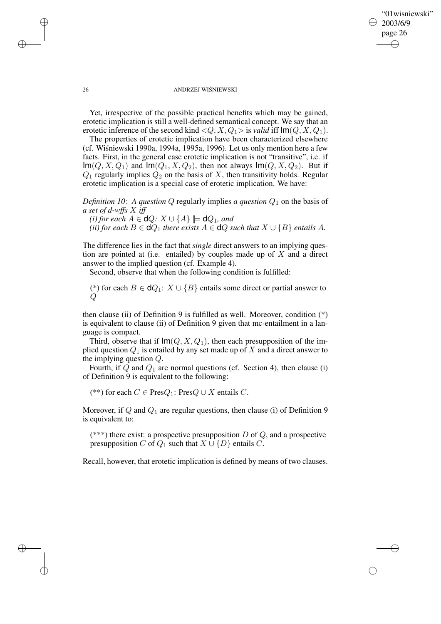✐

### 26 ANDRZEJ WISNIEWSKI ´

Yet, irrespective of the possible practical benefits which may be gained, erotetic implication is still a well-defined semantical concept. We say that an erotetic inference of the second kind  $\langle Q, X, Q_1 \rangle$  is *valid* iff  $\text{Im}(Q, X, Q_1)$ .

The properties of erotetic implication have been characterized elsewhere (cf. Wiśniewski 1990a, 1994a, 1995a, 1996). Let us only mention here a few facts. First, in the general case erotetic implication is not "transitive", i.e. if  $\text{Im}(Q, X, Q_1)$  and  $\text{Im}(Q_1, X, Q_2)$ , then not always  $\text{Im}(Q, X, Q_2)$ . But if  $Q_1$  regularly implies  $Q_2$  on the basis of X, then transitivity holds. Regular erotetic implication is a special case of erotetic implication. We have:

*Definition 10: A question Q* regularly implies *a question*  $Q_1$  on the basis of *a set of d-wffs* X *iff*

*(i) for each*  $A \in \mathsf{d}Q$ :  $X \cup \{A\} \models \mathsf{d}Q_1$ *, and* 

*(ii) for each*  $B \in \mathbf{d}Q_1$  *there exists*  $A \in \mathbf{d}Q$  *such that*  $X \cup \{B\}$  *entails*  $A$ *.* 

The difference lies in the fact that *single* direct answers to an implying question are pointed at (i.e. entailed) by couples made up of  $X$  and a direct answer to the implied question (cf. Example 4).

Second, observe that when the following condition is fulfilled:

(\*) for each  $B \in dQ_1$ :  $X \cup \{B\}$  entails some direct or partial answer to  $\overline{Q}$ 

then clause (ii) of Definition 9 is fulfilled as well. Moreover, condition  $(*)$ is equivalent to clause (ii) of Definition 9 given that mc-entailment in a language is compact.

Third, observe that if  $Im(Q, X, Q_1)$ , then each presupposition of the implied question  $Q_1$  is entailed by any set made up of X and a direct answer to the implying question Q.

Fourth, if  $Q$  and  $Q_1$  are normal questions (cf. Section 4), then clause (i) of Definition 9 is equivalent to the following:

(\*\*) for each  $C$  ∈ Pres $Q_1$ : Pres $Q \cup X$  entails  $C$ .

Moreover, if  $Q$  and  $Q_1$  are regular questions, then clause (i) of Definition 9 is equivalent to:

(\*\*\*) there exist: a prospective presupposition  $D$  of  $Q$ , and a prospective presupposition C of  $Q_1$  such that  $X \cup \{D\}$  entails C.

Recall, however, that erotetic implication is defined by means of two clauses.

✐

✐

✐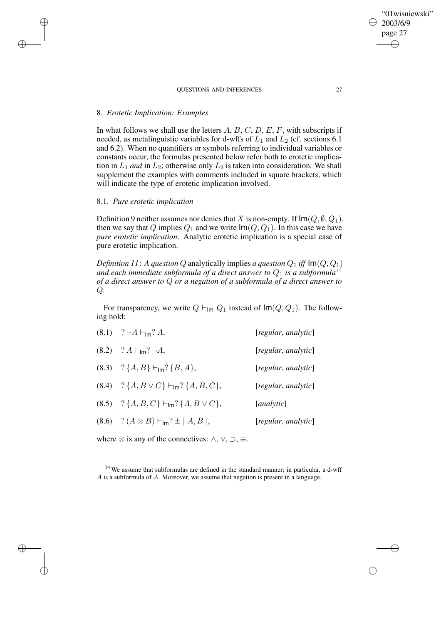# 8. *Erotetic Implication: Examples*

✐

✐

✐

✐

In what follows we shall use the letters  $A, B, C, D, E, F$ , with subscripts if needed, as metalinguistic variables for d-wffs of  $L_1$  and  $L_2$  (cf. sections 6.1) and 6.2). When no quantifiers or symbols referring to individual variables or constants occur, the formulas presented below refer both to erotetic implication in  $L_1$  *and* in  $L_2$ ; otherwise only  $L_2$  is taken into consideration. We shall supplement the examples with comments included in square brackets, which will indicate the type of erotetic implication involved.

## 8.1. *Pure erotetic implication*

Definition 9 neither assumes nor denies that X is non-empty. If  $\text{Im}(Q, \emptyset, Q_1)$ , then we say that Q implies  $Q_1$  and we write  $\text{Im}(Q, Q_1)$ . In this case we have *pure erotetic implication*. Analytic erotetic implication is a special case of pure erotetic implication.

*Definition* 11: A *question* Q analytically implies *a question*  $Q_1$  *iff*  $Im(Q, Q_1)$ and each immediate subformula of a direct answer to  $Q_1$  is a subformula<sup>14</sup> *of a direct answer to* Q *or a negation of a subformula of a direct answer to* Q*.*

For transparency, we write  $Q \vdash_{\mathsf{Im}} Q_1$  instead of  $\mathsf{Im}(Q, Q_1)$ . The following hold:

| $(8.1)$ ? $\neg A \vdash_{lm} ? A$ ,                              | [regular, analytic] |
|-------------------------------------------------------------------|---------------------|
| $(8.2)$ ? $A \vdash_{lm} ? \neg A$ ,                              | [regular, analytic] |
| (8.3) ? ${A, B} \vdash_{\text{Im}} {B, A}$ ,                      | [regular, analytic] |
| $(8.4)$ ? $\{A, B \vee C\}$ $\vdash_{lm}$ ? $\{A, B, C\}$ ,       | [regular, analytic] |
| $(8.5)$ ? { $A, B, C$ } $\vdash_{\text{Im}}$ ? { $A, B \lor C$ }, | [analytic]          |
| $(8.6)$ ? $(A \otimes B)$ $\vdash_{\text{Im}}? \pm  A, B $ ,      | [regular, analytic] |

where  $\otimes$  is any of the connectives:  $\land$ ,  $\lor$ ,  $\supset$ ,  $\equiv$ .

<sup>14</sup> We assume that subformulas are defined in the standard manner; in particular, a d-wff A is a subformula of A. Moreover, we assume that negation is present in a language.

"01wisniewski"

2003/6/9 page 27

✐

✐

✐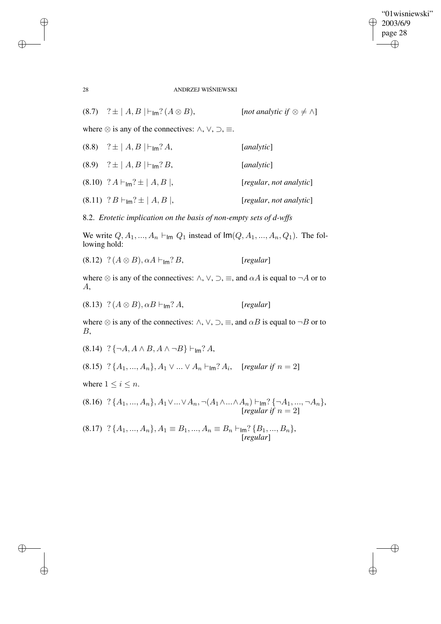$\bigoplus$ 

✐

28 ANDRZEJ WISNIEWSKI ´

| (8.7) $? \pm  A, B  \vdash_{\text{Im}} ? (A \otimes B),$ | [not analytic if $\otimes \neq \wedge$ ] |
|----------------------------------------------------------|------------------------------------------|
|                                                          |                                          |

where  $\otimes$  is any of the connectives:  $\land$ ,  $\lor$ ,  $\supset$ ,  $\equiv$ .

| $(8.8)$ ? $\pm  A, B  \vdash_{\text{Im}}? A$ ,     | [ <i>analytic</i> ]     |
|----------------------------------------------------|-------------------------|
| $(8.9)$ ? $\pm  A, B  \vdash_{\text{Im}}? B$ ,     | [ <i>analytic</i> ]     |
| $(8.10)$ ? $A \vdash_{\text{Im}} ? \pm   A, B  $ , | [regular, not analytic] |
| $(8.11)$ ? $B\vdash_{\text{Im}}? \pm  A, B $ ,     | [regular, not analytic] |

8.2. *Erotetic implication on the basis of non-empty sets of d-wffs*

We write  $Q, A_1, ..., A_n \vdash_{\mathsf{Im}} Q_1$  instead of  $\mathsf{Im}(Q, A_1, ..., A_n, Q_1)$ . The following hold:

 $(8.12)$  ?  $(A \otimes B)$ ,  $\alpha A \vdash_{\text{Im}}? B$ , [*regular*]

where  $\otimes$  is any of the connectives:  $\wedge$ ,  $\vee$ ,  $\supset$ ,  $\equiv$ , and  $\alpha A$  is equal to  $\neg A$  or to A,

 $(8.13)$  ?  $(A \otimes B)$ ,  $\alpha B \vdash_{\text{Im}}? A$ , [*regular*]

where  $\otimes$  is any of the connectives:  $\land$ ,  $\lor$ ,  $\supset$ ,  $\equiv$ , and  $\alpha B$  is equal to  $\neg B$  or to B,

 $(8.14)$  ? {¬A, A  $\wedge$  B, A  $\wedge$  ¬B}  $\vdash_{\mathsf{Im}}$ ? A,

 $(8.15)$   $?$   $\{A_1, ..., A_n\}, A_1 \vee ... \vee A_n \vdash_{\mathsf{Im}} ? A_i$ , [*regular if*  $n = 2$ ]

where  $1 \leq i \leq n$ .

(8.16)  $?$  { $A_1, ..., A_n$ },  $A_1 \vee ... \vee A_n$ ,  $\neg(A_1 \wedge ... \wedge A_n) \vdash_{\mathsf{Im}} ?$  { $\neg A_1, ..., \neg A_n$ },  $[regular if n = 2]$ 

(8.17) ?  ${A_1, ..., A_n}, A_1 \equiv B_1, ..., A_n \equiv B_n \vdash_{\mathsf{Im}}? {B_1, ..., B_n},$ [*regular*]

✐

✐

✐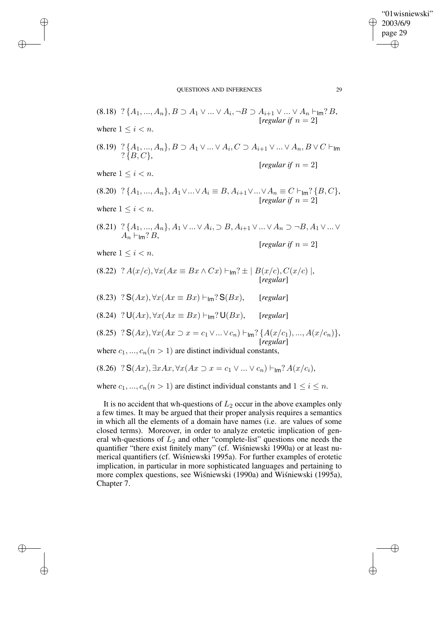✐

✐

✐

✐

 $(8.18)$  ?  $\{A_1, ..., A_n\}, B \supset A_1 \vee ... \vee A_i, \neg B \supset A_{i+1} \vee ... \vee A_n \vdash_{\mathsf{Im}}? B$ ,  $[regular if n = 2]$ where  $1 \leq i \leq n$ .  $(8.19)$   $?$   $\{A_1, ..., A_n\}, B \supset A_1 \vee ... \vee A_i, C \supset A_{i+1} \vee ... \vee A_n, B \vee C \vdash_{\mathsf{Im}}$  $? \{B, C\},\$ [*regular if*  $n = 2$ ] where  $1 \leq i < n$ . (8.20) ? { $A_1, ..., A_n$ },  $A_1 \vee ... \vee A_i \equiv B$ ,  $A_{i+1} \vee ... \vee A_n \equiv C \vdash_{\mathsf{Im}} ?$  { $B, C$ },  $[regular if n = 2]$ where  $1 \leq i \leq n$ .  $(8.21)$  ?  $\{A_1, ..., A_n\}, A_1 \vee ... \vee A_i, \supset B, A_{i+1} \vee ... \vee A_n \supset \neg B, A_1 \vee ... \vee A_n$  $A_n \vdash_{\mathsf{Im}}? B$ ,  $[regular if n = 2]$ where  $1 \leq i \leq n$ .  $(8.22)$  ?  $A(x/c), \forall x (Ax \equiv Bx \wedge Cx) \vdash_{\text{Im}} ? \pm | B(x/c), C(x/c) |,$ [*regular*]  $(8.23)$  ?  $S(Ax)$ ,  $\forall x(Ax \equiv Bx) \vdash_{Im}$ ?  $S(Bx)$ , [*regular*]  $(8.24)$  ?  $U(Ax)$ ,  $\forall x(Ax \equiv Bx) \vdash_{Im}$ ?  $U(Bx)$ , [*regular*] (8.25) ?  $S(Ax)$ ,  $\forall x(Ax \supset x = c_1 \vee ... \vee c_n) \vdash_{\mathsf{Im}}? \{A(x/c_1), ..., A(x/c_n)\},$ [*regular*] where  $c_1, ..., c_n (n > 1)$  are distinct individual constants, (8.26) ?  $S(Ax)$ ,  $\exists x Ax, \forall x (Ax \supset x = c_1 \vee ... \vee c_n) \vdash_{\mathsf{Im}} ? A(x/c_i)$ , where  $c_1, ..., c_n (n > 1)$  are distinct individual constants and  $1 \leq i \leq n$ .

It is no accident that wh-questions of  $L_2$  occur in the above examples only a few times. It may be argued that their proper analysis requires a semantics in which all the elements of a domain have names (i.e. are values of some closed terms). Moreover, in order to analyze erotetic implication of general wh-questions of  $L_2$  and other "complete-list" questions one needs the quantifier "there exist finitely many" (cf. Wisniewski 1990a) or at least numerical quantifiers (cf. Wiśniewski 1995a). For further examples of erotetic implication, in particular in more sophisticated languages and pertaining to more complex questions, see Wiśniewski (1990a) and Wiśniewski (1995a), Chapter 7.

"01wisniewski"

2003/6/9 page 29

✐

✐

✐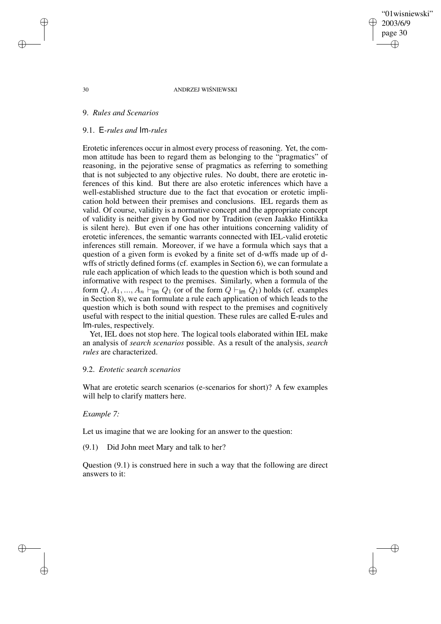"01wisniewski" 2003/6/9 page 30 ✐ ✐

✐

✐

### 30 ANDRZEJ WISNIEWSKI ´

# 9. *Rules and Scenarios*

### 9.1. E*-rules and* Im*-rules*

Erotetic inferences occur in almost every process of reasoning. Yet, the common attitude has been to regard them as belonging to the "pragmatics" of reasoning, in the pejorative sense of pragmatics as referring to something that is not subjected to any objective rules. No doubt, there are erotetic inferences of this kind. But there are also erotetic inferences which have a well-established structure due to the fact that evocation or erotetic implication hold between their premises and conclusions. IEL regards them as valid. Of course, validity is a normative concept and the appropriate concept of validity is neither given by God nor by Tradition (even Jaakko Hintikka is silent here). But even if one has other intuitions concerning validity of erotetic inferences, the semantic warrants connected with IEL-valid erotetic inferences still remain. Moreover, if we have a formula which says that a question of a given form is evoked by a finite set of d-wffs made up of dwffs of strictly defined forms (cf. examples in Section 6), we can formulate a rule each application of which leads to the question which is both sound and informative with respect to the premises. Similarly, when a formula of the form  $Q, A_1, ..., A_n \vdash_{\mathsf{Im}} Q_1$  (or of the form  $Q \vdash_{\mathsf{Im}} Q_1$ ) holds (cf. examples in Section 8), we can formulate a rule each application of which leads to the question which is both sound with respect to the premises and cognitively useful with respect to the initial question. These rules are called E-rules and Im-rules, respectively.

Yet, IEL does not stop here. The logical tools elaborated within IEL make an analysis of *search scenarios* possible. As a result of the analysis, *search rules* are characterized.

# 9.2. *Erotetic search scenarios*

What are erotetic search scenarios (e-scenarios for short)? A few examples will help to clarify matters here.

### *Example 7:*

Let us imagine that we are looking for an answer to the question:

(9.1) Did John meet Mary and talk to her?

Question (9.1) is construed here in such a way that the following are direct answers to it:

✐

✐

✐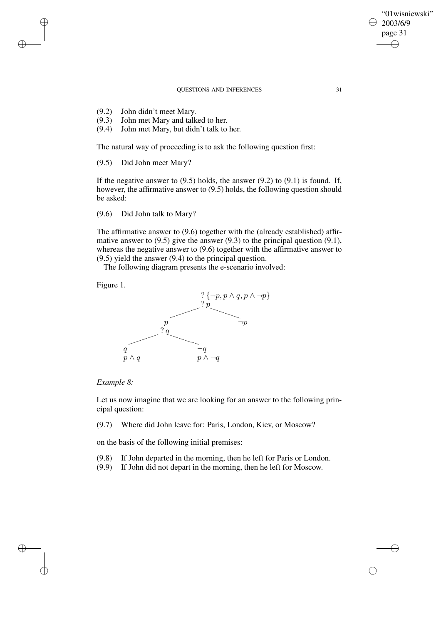- (9.2) John didn't meet Mary.
- (9.3) John met Mary and talked to her.
- (9.4) John met Mary, but didn't talk to her.

The natural way of proceeding is to ask the following question first:

(9.5) Did John meet Mary?

If the negative answer to  $(9.5)$  holds, the answer  $(9.2)$  to  $(9.1)$  is found. If, however, the affirmative answer to (9.5) holds, the following question should be asked:

(9.6) Did John talk to Mary?

The affirmative answer to (9.6) together with the (already established) affirmative answer to (9.5) give the answer (9.3) to the principal question (9.1), whereas the negative answer to (9.6) together with the affirmative answer to (9.5) yield the answer (9.4) to the principal question.

The following diagram presents the e-scenario involved:

Figure 1.

✐

✐

✐

✐



## *Example 8:*

Let us now imagine that we are looking for an answer to the following principal question:

(9.7) Where did John leave for: Paris, London, Kiev, or Moscow?

on the basis of the following initial premises:

(9.8) If John departed in the morning, then he left for Paris or London.

(9.9) If John did not depart in the morning, then he left for Moscow.

"01wisniewski" 2003/6/9 page 31

✐

✐

✐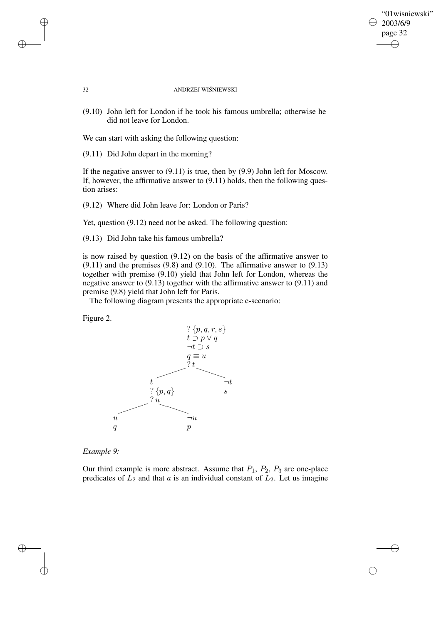$\bigoplus$ 

✐

### 32 ANDRZEJ WISNIEWSKI ´

(9.10) John left for London if he took his famous umbrella; otherwise he did not leave for London.

We can start with asking the following question:

(9.11) Did John depart in the morning?

If the negative answer to (9.11) is true, then by (9.9) John left for Moscow. If, however, the affirmative answer to (9.11) holds, then the following question arises:

(9.12) Where did John leave for: London or Paris?

Yet, question  $(9.12)$  need not be asked. The following question:

(9.13) Did John take his famous umbrella?

is now raised by question (9.12) on the basis of the affirmative answer to  $(9.11)$  and the premises  $(9.8)$  and  $(9.10)$ . The affirmative answer to  $(9.13)$ together with premise (9.10) yield that John left for London, whereas the negative answer to (9.13) together with the affirmative answer to (9.11) and premise (9.8) yield that John left for Paris.

The following diagram presents the appropriate e-scenario:

Figure 2.

✐

✐



*Example 9:*

✐

✐

Our third example is more abstract. Assume that  $P_1$ ,  $P_2$ ,  $P_3$  are one-place predicates of  $L_2$  and that a is an individual constant of  $L_2$ . Let us imagine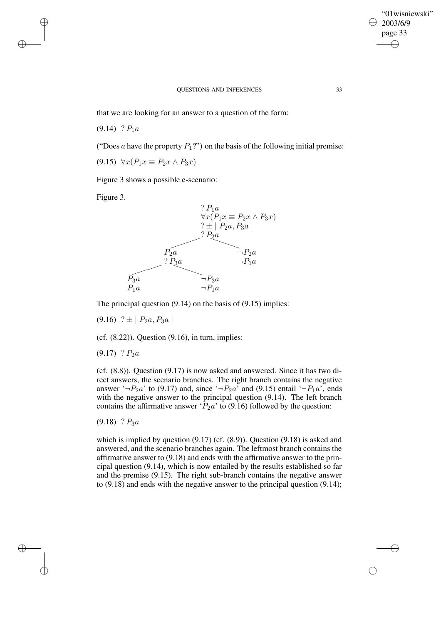✐

#### QUESTIONS AND INFERENCES 33

that we are looking for an answer to a question of the form:

 $(9.14)$  ?  $P_1a$ 

✐

✐

✐

✐

("Does a have the property  $P_1$ ?") on the basis of the following initial premise:

(9.15)  $\forall x (P_1 x \equiv P_2 x \land P_3 x)$ 

Figure 3 shows a possible e-scenario:

Figure 3.



The principal question (9.14) on the basis of (9.15) implies:

 $(9.16)$  ?  $\pm$  |  $P_2a$ ,  $P_3a$  |

 $(cf. (8.22))$ . Question  $(9.16)$ , in turn, implies:

 $(9.17)$  ?  $P_2a$ 

(cf. (8.8)). Question (9.17) is now asked and answered. Since it has two direct answers, the scenario branches. The right branch contains the negative answer ' $\neg P_2a'$  to (9.17) and, since ' $\neg P_2a'$  and (9.15) entail ' $\neg P_1a'$ , ends with the negative answer to the principal question (9.14). The left branch contains the affirmative answer ' $P_2a$ ' to (9.16) followed by the question:

 $(9.18)$  ?  $P_3a$ 

which is implied by question (9.17) (cf. (8.9)). Question (9.18) is asked and answered, and the scenario branches again. The leftmost branch contains the affirmative answer to (9.18) and ends with the affirmative answer to the principal question (9.14), which is now entailed by the results established so far and the premise (9.15). The right sub-branch contains the negative answer to (9.18) and ends with the negative answer to the principal question (9.14);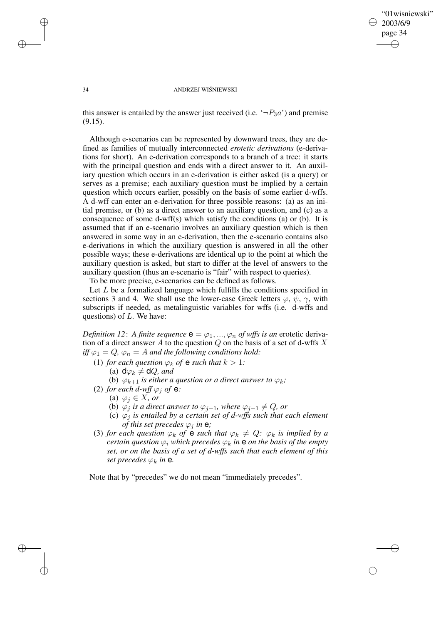✐

#### 34 ANDRZEJ WISNIEWSKI ´

this answer is entailed by the answer just received (i.e.  $\neg P_3a'$ ) and premise (9.15).

Although e-scenarios can be represented by downward trees, they are defined as families of mutually interconnected *erotetic derivations* (e-derivations for short). An e-derivation corresponds to a branch of a tree: it starts with the principal question and ends with a direct answer to it. An auxiliary question which occurs in an e-derivation is either asked (is a query) or serves as a premise; each auxiliary question must be implied by a certain question which occurs earlier, possibly on the basis of some earlier d-wffs. A d-wff can enter an e-derivation for three possible reasons: (a) as an initial premise, or (b) as a direct answer to an auxiliary question, and (c) as a consequence of some d-wff(s) which satisfy the conditions (a) or (b). It is assumed that if an e-scenario involves an auxiliary question which is then answered in some way in an e-derivation, then the e-scenario contains also e-derivations in which the auxiliary question is answered in all the other possible ways; these e-derivations are identical up to the point at which the auxiliary question is asked, but start to differ at the level of answers to the auxiliary question (thus an e-scenario is "fair" with respect to queries).

To be more precise, e-scenarios can be defined as follows.

Let  $L$  be a formalized language which fulfills the conditions specified in sections 3 and 4. We shall use the lower-case Greek letters  $\varphi$ ,  $\psi$ ,  $\gamma$ , with subscripts if needed, as metalinguistic variables for wffs (i.e. d-wffs and questions) of  $L$ . We have:

*Definition* 12: A *finite sequence*  $\mathbf{e} = \varphi_1, ..., \varphi_n$  *of wffs is an* erotetic derivation of a direct answer A to the question  $Q$  on the basis of a set of d-wffs X  $\partial f/\partial f = Q$ ,  $\varphi_n = A$  *and the following conditions hold:* 

- (1) *for each question*  $\varphi_k$  *of*  $e$  *such that*  $k > 1$ *:* 
	- (a)  $d\varphi_k \neq dQ$ *, and*
	- (b)  $\varphi_{k+1}$  *is either a question or a direct answer to*  $\varphi_k$ *;*
- (2) *for each d-wff*  $\varphi_j$  *of* **e**:
	- (a)  $\varphi_j \in X$ *, or* 
		- (b)  $\varphi_j$  *is a direct answer to*  $\varphi_{j-1}$ *, where*  $\varphi_{j-1} \neq Q$ *, or*
	- (c) ϕ<sup>j</sup> *is entailed by a certain set of d-wffs such that each element of this set precedes*  $\varphi_j$  *in*  $e$ *;*
- (3) *for each question*  $\varphi_k$  *of*  $\hat{\mathbf{e}}$  *such that*  $\varphi_k \neq Q$ *:*  $\varphi_k$  *is implied by a certain question*  $\varphi_i$  *which precedes*  $\varphi_k$  *in*  $\theta$  *on the basis of the empty set, or on the basis of a set of d-wffs such that each element of this set precedes*  $\varphi_k$  *in* **e**.

Note that by "precedes" we do not mean "immediately precedes".

✐

✐

✐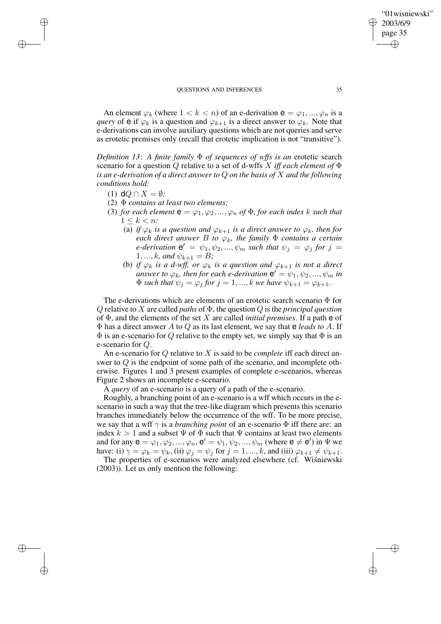An element  $\varphi_k$  (where  $1 < k < n$ ) of an e-derivation  $e = \varphi_1, ..., \varphi_n$  is a *query* of **e** if  $\varphi_k$  is a question and  $\varphi_{k+1}$  is a direct answer to  $\varphi_k$ . Note that e-derivations can involve auxiliary questions which are not queries and serve as erotetic premises only (recall that erotetic implication is not "transitive").

*Definition 13*: *A finite family* Φ *of sequences of wffs is an* erotetic search scenario for a question Q relative to a set of d-wffs X *iff each element of* Φ *is an e-derivation of a direct answer to* Q *on the basis of* X *and the following conditions hold:*

(1)  $dQ \cap X = \emptyset$ ;

✐

✐

✐

✐

- (2) Φ *contains at least two elements;*
- (3) *for each element*  $\mathbf{e} = \varphi_1, \varphi_2, ..., \varphi_n$  *of*  $\Phi$ *, for each index k such that*  $1 \leq k \leq n$ 
	- (a) *if*  $\varphi_k$  *is a question and*  $\varphi_{k+1}$  *is a direct answer to*  $\varphi_k$ *, then for each direct answer*  $B$  *to*  $\varphi_k$ *, the family*  $\Phi$  *contains a certain e-derivation*  $e' = \psi_1, \psi_2, ..., \psi_m$  *such that*  $\psi_j = \varphi_j$  *for*  $j =$ 1, ..., *k*, and  $\psi_{k+1} = B$ ;
	- (b) *if*  $\varphi_k$  *is a d-wff, or*  $\varphi_k$  *is a question and*  $\varphi_{k+1}$  *is not a direct*  $a_1 + b_2 + c_3 + d_4$  *answer to*  $\varphi_k$ , *then for each e-derivation*  $e' = \psi_1, \psi_2, ..., \psi_m$  *in*  $\Phi$  *such that*  $\psi_j = \varphi_j$  *for*  $j = 1, ..., k$  *we have*  $\psi_{k+1} = \varphi_{k+1}$ *.*

The e-derivations which are elements of an erotetic search scenario Φ for Q relative to X are called *paths* of Φ, the question Q is the *principal question* of Φ, and the elements of the set X are called *initial premises*. If a path e of Φ has a direct answer A to Q as its last element, we say that e *leads to* A. If  $\Phi$  is an e-scenario for Q relative to the empty set, we simply say that  $\Phi$  is an e-scenario for Q.

An e-scenario for Q relative to X is said to be *complete* iff each direct answer to Q is the endpoint of some path of the scenario, and incomplete otherwise. Figures 1 and 3 present examples of complete e-scenarios, whereas Figure 2 shows an incomplete e-scenario.

A *query* of an e-scenario is a query of a path of the e-scenario.

Roughly, a branching point of an e-scenario is a wff which occurs in the escenario in such a way that the tree-like diagram which presents this scenario branches immediately below the occurrence of the wff. To be more precise, we say that a wff  $\gamma$  is a *branching point* of an e-scenario  $\Phi$  iff there are: an index  $k > 1$  and a subset  $\Psi$  of  $\Phi$  such that  $\Psi$  contains at least two elements and for any  $\mathbf{e} = \varphi_1, \varphi_2, ..., \varphi_n, \mathbf{e}' = \psi_1, \psi_2, ..., \psi_m$  (where  $\mathbf{e} \neq \mathbf{e}'$ ) in  $\Psi$  we have: (i)  $\gamma = \varphi_k = \psi_k$ , (ii)  $\varphi_j = \psi_j$  for  $j = 1, ..., k$ , and (iii)  $\varphi_{k+1} \neq \psi_{k+1}$ .

The properties of e-scenarios were analyzed elsewhere (cf. Wisniewski (2003)). Let us only mention the following:

"01wisniewski"

2003/6/9 page 35

✐

✐

✐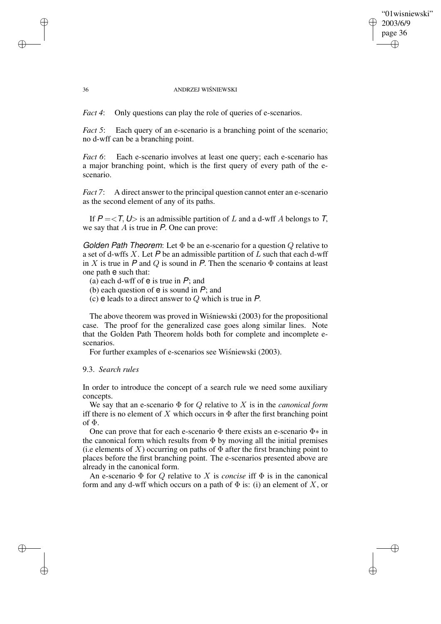# "01wisniewski" 2003/6/9 page 36 ✐ ✐

✐

✐

### 36 ANDRZEJ WISNIEWSKI ´

*Fact* 4: Only questions can play the role of queries of e-scenarios.

*Fact* 5: Each query of an e-scenario is a branching point of the scenario; no d-wff can be a branching point.

*Fact* 6: Each e-scenario involves at least one query; each e-scenario has a major branching point, which is the first query of every path of the escenario.

*Fact 7*: A direct answer to the principal question cannot enter an e-scenario as the second element of any of its paths.

If  $P = \langle T, U \rangle$  is an admissible partition of L and a d-wff A belongs to T, we say that  $A$  is true in  $P$ . One can prove:

Golden Path Theorem: Let  $\Phi$  be an e-scenario for a question  $Q$  relative to a set of d-wffs X. Let  $P$  be an admissible partition of L such that each d-wff in X is true in P and Q is sound in P. Then the scenario  $\Phi$  contains at least one path e such that:

(a) each d-wff of  $e$  is true in  $P$ ; and

(b) each question of  $e$  is sound in  $P$ ; and

(c)  $\theta$  leads to a direct answer to Q which is true in P.

The above theorem was proved in Wisniewski  $(2003)$  for the propositional case. The proof for the generalized case goes along similar lines. Note that the Golden Path Theorem holds both for complete and incomplete escenarios.

For further examples of e-scenarios see Wiśniewski (2003).

# 9.3. *Search rules*

✐

✐

✐

✐

In order to introduce the concept of a search rule we need some auxiliary concepts.

We say that an e-scenario Φ for Q relative to X is in the *canonical form* iff there is no element of X which occurs in  $\Phi$  after the first branching point of Φ.

One can prove that for each e-scenario  $\Phi$  there exists an e-scenario  $\Phi^*$  in the canonical form which results from  $\Phi$  by moving all the initial premises (i.e elements of X) occurring on paths of  $\Phi$  after the first branching point to places before the first branching point. The e-scenarios presented above are already in the canonical form.

An e-scenario  $\Phi$  for Q relative to X is *concise* if  $\Phi$  is in the canonical form and any d-wff which occurs on a path of  $\Phi$  is: (i) an element of X, or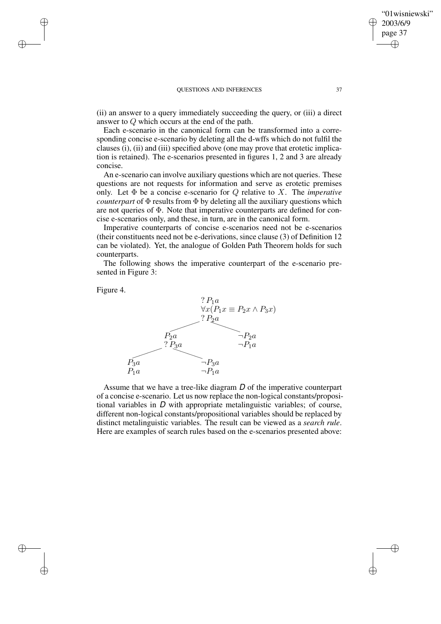(ii) an answer to a query immediately succeeding the query, or (iii) a direct answer to Q which occurs at the end of the path.

Each e-scenario in the canonical form can be transformed into a corresponding concise e-scenario by deleting all the d-wffs which do not fulfil the clauses (i), (ii) and (iii) specified above (one may prove that erotetic implication is retained). The e-scenarios presented in figures 1, 2 and 3 are already concise.

An e-scenario can involve auxiliary questions which are not queries. These questions are not requests for information and serve as erotetic premises only. Let Φ be a concise e-scenario for Q relative to X. The *imperative counterpart* of Φ results from Φ by deleting all the auxiliary questions which are not queries of Φ. Note that imperative counterparts are defined for concise e-scenarios only, and these, in turn, are in the canonical form.

Imperative counterparts of concise e-scenarios need not be e-scenarios (their constituents need not be e-derivations, since clause (3) of Definition 12 can be violated). Yet, the analogue of Golden Path Theorem holds for such counterparts.

The following shows the imperative counterpart of the e-scenario presented in Figure 3:

Figure 4.

✐

✐

✐

✐



Assume that we have a tree-like diagram D of the imperative counterpart of a concise e-scenario. Let us now replace the non-logical constants/propositional variables in  $D$  with appropriate metalinguistic variables; of course, different non-logical constants/propositional variables should be replaced by distinct metalinguistic variables. The result can be viewed as a *search rule*. Here are examples of search rules based on the e-scenarios presented above:

"01wisniewski"

2003/6/9 page 37

✐

✐

✐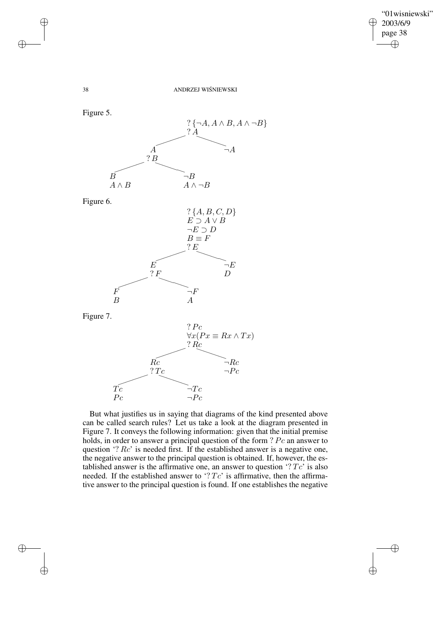$\bigoplus$ 

38 ANDRZEJ WISNIEWSKI ´



But what justifies us in saying that diagrams of the kind presented above can be called search rules? Let us take a look at the diagram presented in Figure 7. It conveys the following information: given that the initial premise holds, in order to answer a principal question of the form ? Pc an answer to question '?  $Rc$ ' is needed first. If the established answer is a negative one, the negative answer to the principal question is obtained. If, however, the established answer is the affirmative one, an answer to question  $Tc'$  is also needed. If the established answer to  $Tc'$  is affirmative, then the affirmative answer to the principal question is found. If one establishes the negative

✐

✐

✐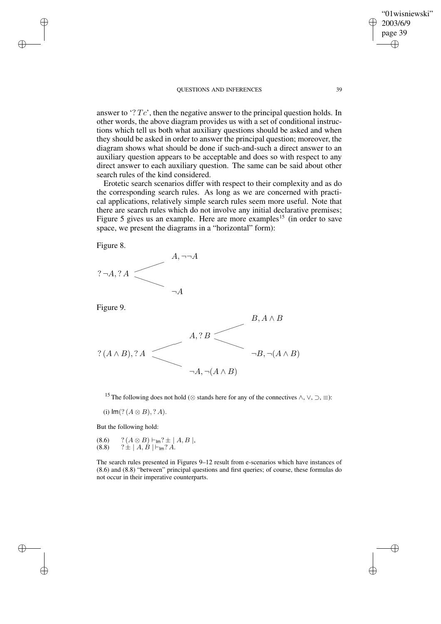answer to  $\mathcal{F}Tc'$ , then the negative answer to the principal question holds. In other words, the above diagram provides us with a set of conditional instructions which tell us both what auxiliary questions should be asked and when they should be asked in order to answer the principal question; moreover, the diagram shows what should be done if such-and-such a direct answer to an auxiliary question appears to be acceptable and does so with respect to any direct answer to each auxiliary question. The same can be said about other search rules of the kind considered.

Erotetic search scenarios differ with respect to their complexity and as do the corresponding search rules. As long as we are concerned with practical applications, relatively simple search rules seem more useful. Note that there are search rules which do not involve any initial declarative premises; Figure 5 gives us an example. Here are more examples<sup>15</sup> (in order to save space, we present the diagrams in a "horizontal" form):

Figure 8.

✐

✐

✐

✐



Figure 9.



<sup>15</sup> The following does not hold ( $\otimes$  stands here for any of the connectives  $\wedge$ ,  $\vee$ ,  $\supset$ ,  $\equiv$ ):

(i)  $Im($ ?  $(A \otimes B)$ , ? A).

But the following hold:

(8.6) 
$$
?(A \otimes B) \vdash_{lm} ? \pm | A, B |
$$
,  
(8.8)  $? \pm | A, B | \vdash_{lm} ? A$ .

The search rules presented in Figures 9–12 result from e-scenarios which have instances of (8.6) and (8.8) "between" principal questions and first queries; of course, these formulas do not occur in their imperative counterparts.

"01wisniewski" 2003/6/9 page 39

✐

✐

✐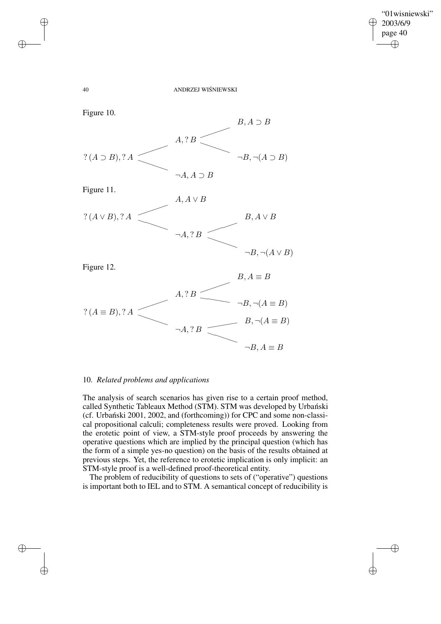$\bigoplus$ 

✐

40 ANDRZEJ WIŚNIEWSKI



# 10. *Related problems and applications*

✐

✐

✐

✐

The analysis of search scenarios has given rise to a certain proof method, called Synthetic Tableaux Method (STM). STM was developed by Urbanski (cf. Urbanski  $2001$ ,  $2002$ , and (forthcoming)) for CPC and some non-classical propositional calculi; completeness results were proved. Looking from the erotetic point of view, a STM-style proof proceeds by answering the operative questions which are implied by the principal question (which has the form of a simple yes-no question) on the basis of the results obtained at previous steps. Yet, the reference to erotetic implication is only implicit: an STM-style proof is a well-defined proof-theoretical entity.

The problem of reducibility of questions to sets of ("operative") questions is important both to IEL and to STM. A semantical concept of reducibility is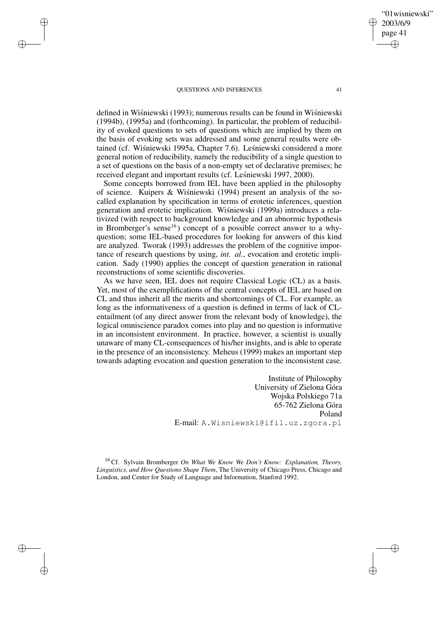✐

✐

✐

✐

defined in Wiśniewski (1993); numerous results can be found in Wiśniewski (1994b), (1995a) and (forthcoming). In particular, the problem of reducibility of evoked questions to sets of questions which are implied by them on the basis of evoking sets was addressed and some general results were obtained (cf. Wiśniewski 1995a, Chapter 7.6). Leśniewski considered a more general notion of reducibility, namely the reducibility of a single question to a set of questions on the basis of a non-empty set of declarative premises; he received elegant and important results (cf. Leśniewski 1997, 2000).

Some concepts borrowed from IEL have been applied in the philosophy of science. Kuipers  $&$  Wisniewski (1994) present an analysis of the socalled explanation by specification in terms of erotetic inferences, question generation and erotetic implication. Wisniewski (1999a) introduces a relativized (with respect to background knowledge and an abnormic hypothesis in Bromberger's sense<sup>16</sup>) concept of a possible correct answer to a whyquestion; some IEL-based procedures for looking for answers of this kind are analyzed. Tworak (1993) addresses the problem of the cognitive importance of research questions by using, *int. al.*, evocation and erotetic implication. Sady (1990) applies the concept of question generation in rational reconstructions of some scientific discoveries.

As we have seen, IEL does not require Classical Logic (CL) as a basis. Yet, most of the exemplifications of the central concepts of IEL are based on CL and thus inherit all the merits and shortcomings of CL. For example, as long as the informativeness of a question is defined in terms of lack of CLentailment (of any direct answer from the relevant body of knowledge), the logical omniscience paradox comes into play and no question is informative in an inconsistent environment. In practice, however, a scientist is usually unaware of many CL-consequences of his/her insights, and is able to operate in the presence of an inconsistency. Meheus (1999) makes an important step towards adapting evocation and question generation to the inconsistent case.

> Institute of Philosophy University of Zielona Góra Wojska Polskiego 71a 65-762 Zielona Góra Poland E-mail: A.Wisniewski@ifil.uz.zgora.pl

<sup>16</sup> Cf. Sylvain Bromberger *On What We Know We Don't Know: Explanation, Theory, Linguistics, and How Questions Shape Them*, The University of Chicago Press, Chicago and London, and Center for Study of Language and Information, Stanford 1992.

"01wisniewski" 2003/6/9 page 41

✐

✐

✐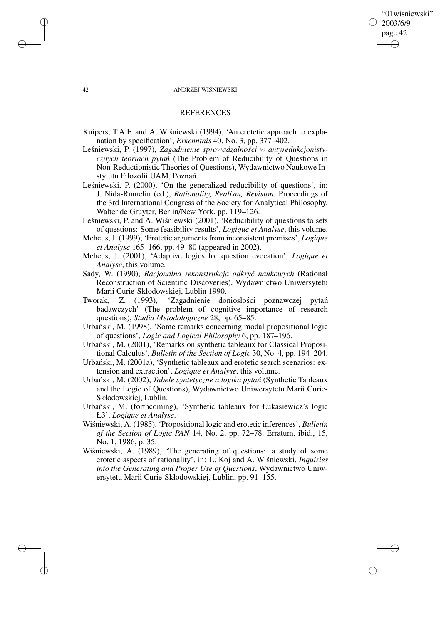"01wisniewski" 2003/6/9 page 42 ✐ ✐

✐

✐

#### 42 ANDRZEJ WIŚNIEWSKI

### REFERENCES

- Kuipers, T.A.F. and A. Wiśniewski (1994), 'An erotetic approach to explanation by specification', *Erkenntnis* 40, No. 3, pp. 377–402.
- Leśniewski, P. (1997), Zagadnienie sprowadzalności w antyredukcjonisty*cznych teoriach pytan´* (The Problem of Reducibility of Questions in Non-Reductionistic Theories of Questions), Wydawnictwo Naukowe Instytutu Filozofii UAM, Poznań.
- Leśniewski, P. (2000), 'On the generalized reducibility of questions', in: J. Nida-Rumelin (ed.), *Rationality, Realism, Revision.* Proceedings of the 3rd International Congress of the Society for Analytical Philosophy, Walter de Gruyter, Berlin/New York, pp. 119–126.
- Leśniewski, P. and A. Wiśniewski (2001), 'Reducibility of questions to sets of questions: Some feasibility results', *Logique et Analyse*, this volume.
- Meheus, J. (1999), 'Erotetic arguments from inconsistent premises', *Logique et Analyse* 165–166, pp. 49–80 (appeared in 2002).
- Meheus, J. (2001), 'Adaptive logics for question evocation', *Logique et Analyse*, this volume.
- Sady, W. (1990), *Racjonalna rekonstrukcja odkryc´ naukowych* (Rational Reconstruction of Scientific Discoveries), Wydawnictwo Uniwersytetu Marii Curie-Skłodowskiej, Lublin 1990.
- Tworak, Z. (1993), 'Zagadnienie doniosłości poznawczej pytań badawczych' (The problem of cognitive importance of research questions), *Studia Metodologiczne* 28, pp. 65–85.
- Urbański, M. (1998), 'Some remarks concerning modal propositional logic of questions', *Logic and Logical Philosophy* 6, pp. 187–196.
- Urbański, M. (2001), 'Remarks on synthetic tableaux for Classical Propositional Calculus', *Bulletin of the Section of Logic* 30, No. 4, pp. 194–204.
- Urbański, M. (2001a), 'Synthetic tableaux and erotetic search scenarios: extension and extraction', *Logique et Analyse*, this volume.
- Urbanski, ´ M. (2002), *Tabele syntetyczne a logika pytan´* (Synthetic Tableaux and the Logic of Questions), Wydawnictwo Uniwersytetu Marii Curie-Skłodowskiej, Lublin.
- Urbański, M. (forthcoming), 'Synthetic tableaux for Łukasiewicz's logic Ł3', *Logique et Analyse*.
- Wiśniewski, A. (1985), 'Propositional logic and erotetic inferences', *Bulletin of the Section of Logic PAN* 14, No. 2, pp. 72–78. Erratum, ibid., 15, No. 1, 1986, p. 35.
- Wisniewski, A.  $(1989)$ , 'The generating of questions: a study of some erotetic aspects of rationality', in: L. Koj and A. Wiśniewski, *Inquiries into the Generating and Proper Use of Questions*, Wydawnictwo Uniwersytetu Marii Curie-Skłodowskiej, Lublin, pp. 91–155.

✐

✐

✐